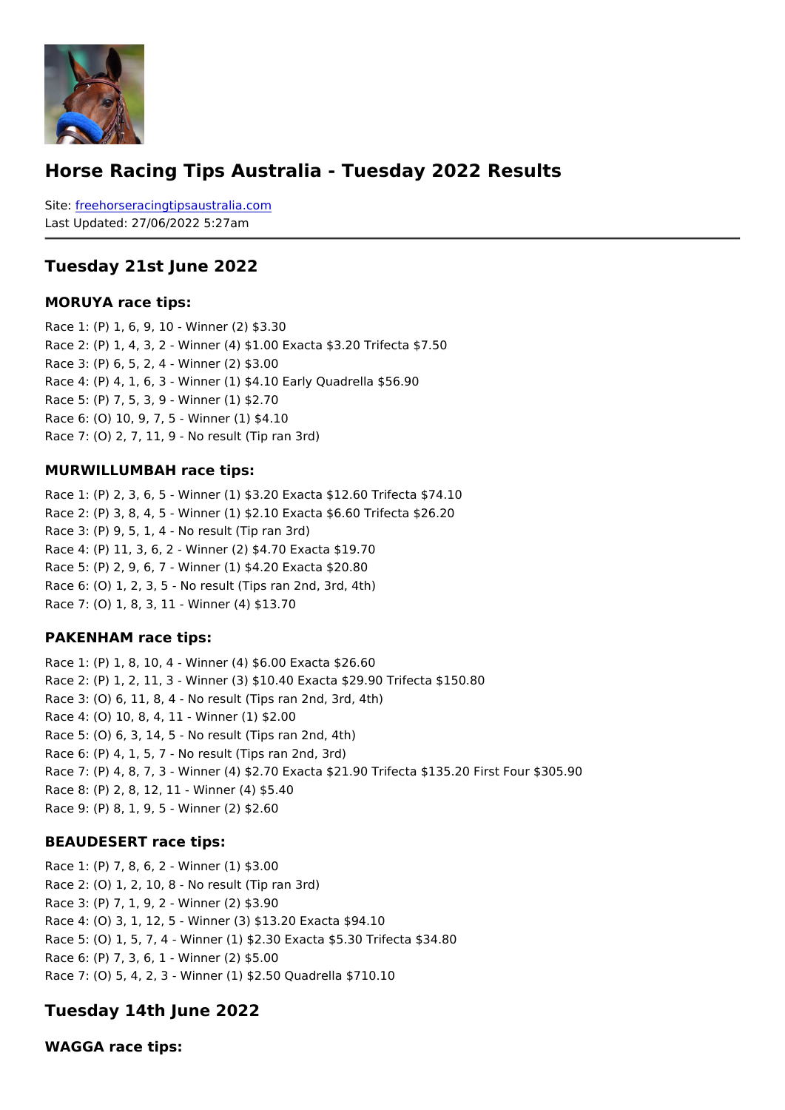### Horse Racing Tips Australia - Tuesday 2022 Results

Sitefreehorseracingtipsaustralia.com Last Updated: 27/06/2022 5:27am

#### Tuesday 21st June 2022

MORUYA race tips:

Race 1: (P) 1, 6, 9, 10 - Winner (2) \$3.30 Race 2: (P) 1, 4, 3, 2 - Winner (4) \$1.00 Exacta \$3.20 Trifecta \$7.50 Race 3: (P) 6, 5, 2, 4 - Winner (2) \$3.00 Race 4: (P) 4, 1, 6, 3 - Winner (1) \$4.10 Early Quadrella \$56.90 Race 5: (P) 7, 5, 3, 9 - Winner (1) \$2.70 Race 6: (O) 10, 9, 7, 5 - Winner (1) \$4.10 Race 7: (O) 2, 7, 11, 9 - No result (Tip ran 3rd)

#### MURWILLUMBAH race tips:

Race 1: (P) 2, 3, 6, 5 - Winner (1) \$3.20 Exacta \$12.60 Trifecta \$74.10 Race 2: (P) 3, 8, 4, 5 - Winner (1) \$2.10 Exacta \$6.60 Trifecta \$26.20 Race 3: (P) 9, 5, 1, 4 - No result (Tip ran 3rd) Race 4: (P) 11, 3, 6, 2 - Winner (2) \$4.70 Exacta \$19.70 Race 5: (P) 2, 9, 6, 7 - Winner (1) \$4.20 Exacta \$20.80 Race 6: (O) 1, 2, 3, 5 - No result (Tips ran 2nd, 3rd, 4th) Race 7: (O) 1, 8, 3, 11 - Winner (4) \$13.70

#### PAKENHAM race tips:

Race 1: (P) 1, 8, 10, 4 - Winner (4) \$6.00 Exacta \$26.60 Race 2: (P) 1, 2, 11, 3 - Winner (3) \$10.40 Exacta \$29.90 Trifecta \$150.80 Race 3: (O) 6, 11, 8, 4 - No result (Tips ran 2nd, 3rd, 4th) Race 4: (O) 10, 8, 4, 11 - Winner (1) \$2.00 Race 5: (O) 6, 3, 14, 5 - No result (Tips ran 2nd, 4th) Race 6: (P) 4, 1, 5, 7 - No result (Tips ran 2nd, 3rd) Race 7: (P) 4, 8, 7, 3 - Winner (4) \$2.70 Exacta \$21.90 Trifecta \$135.20 First Four \$30 Race 8: (P) 2, 8, 12, 11 - Winner (4) \$5.40 Race 9: (P) 8, 1, 9, 5 - Winner (2) \$2.60

#### BEAUDESERT race tips:

Race 1: (P) 7, 8, 6, 2 - Winner (1) \$3.00 Race 2: (O) 1, 2, 10, 8 - No result (Tip ran 3rd) Race 3: (P) 7, 1, 9, 2 - Winner (2) \$3.90 Race 4: (O) 3, 1, 12, 5 - Winner (3) \$13.20 Exacta \$94.10 Race 5: (O) 1, 5, 7, 4 - Winner (1) \$2.30 Exacta \$5.30 Trifecta \$34.80 Race 6: (P) 7, 3, 6, 1 - Winner (2) \$5.00 Race 7: (O) 5, 4, 2, 3 - Winner (1) \$2.50 Quadrella \$710.10

Tuesday 14th June 2022

WAGGA race tips: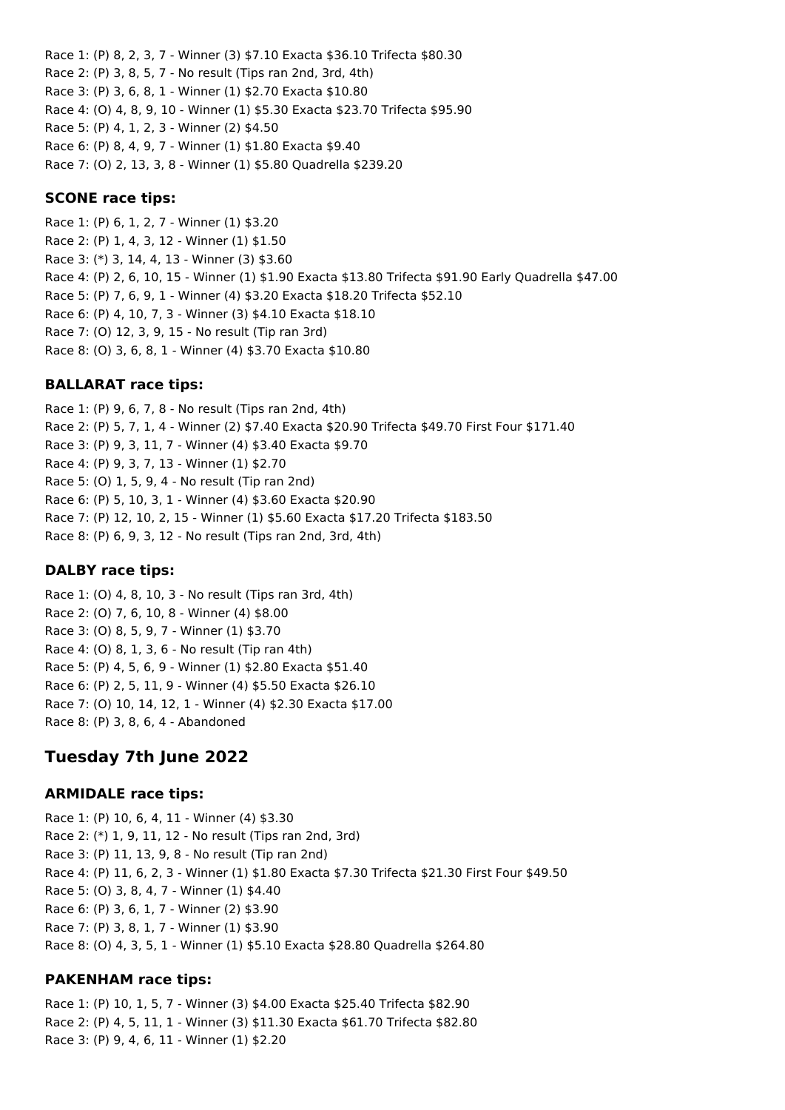Race 1: (P) 8, 2, 3, 7 - Winner (3) \$7.10 Exacta \$36.10 Trifecta \$80.30 Race 2: (P) 3, 8, 5, 7 - No result (Tips ran 2nd, 3rd, 4th) Race 3: (P) 3, 6, 8, 1 - Winner (1) \$2.70 Exacta \$10.80 Race 4: (O) 4, 8, 9, 10 - Winner (1) \$5.30 Exacta \$23.70 Trifecta \$95.90 Race 5: (P) 4, 1, 2, 3 - Winner (2) \$4.50 Race 6: (P) 8, 4, 9, 7 - Winner (1) \$1.80 Exacta \$9.40 Race 7: (O) 2, 13, 3, 8 - Winner (1) \$5.80 Quadrella \$239.20

### **SCONE race tips:**

Race 1: (P) 6, 1, 2, 7 - Winner (1) \$3.20 Race 2: (P) 1, 4, 3, 12 - Winner (1) \$1.50 Race 3: (\*) 3, 14, 4, 13 - Winner (3) \$3.60 Race 4: (P) 2, 6, 10, 15 - Winner (1) \$1.90 Exacta \$13.80 Trifecta \$91.90 Early Quadrella \$47.00 Race 5: (P) 7, 6, 9, 1 - Winner (4) \$3.20 Exacta \$18.20 Trifecta \$52.10 Race 6: (P) 4, 10, 7, 3 - Winner (3) \$4.10 Exacta \$18.10 Race 7: (O) 12, 3, 9, 15 - No result (Tip ran 3rd) Race 8: (O) 3, 6, 8, 1 - Winner (4) \$3.70 Exacta \$10.80

### **BALLARAT race tips:**

Race 1: (P) 9, 6, 7, 8 - No result (Tips ran 2nd, 4th) Race 2: (P) 5, 7, 1, 4 - Winner (2) \$7.40 Exacta \$20.90 Trifecta \$49.70 First Four \$171.40 Race 3: (P) 9, 3, 11, 7 - Winner (4) \$3.40 Exacta \$9.70 Race 4: (P) 9, 3, 7, 13 - Winner (1) \$2.70 Race 5: (O) 1, 5, 9, 4 - No result (Tip ran 2nd) Race 6: (P) 5, 10, 3, 1 - Winner (4) \$3.60 Exacta \$20.90 Race 7: (P) 12, 10, 2, 15 - Winner (1) \$5.60 Exacta \$17.20 Trifecta \$183.50 Race 8: (P) 6, 9, 3, 12 - No result (Tips ran 2nd, 3rd, 4th)

#### **DALBY race tips:**

Race 1: (O) 4, 8, 10, 3 - No result (Tips ran 3rd, 4th) Race 2: (O) 7, 6, 10, 8 - Winner (4) \$8.00 Race 3: (O) 8, 5, 9, 7 - Winner (1) \$3.70 Race 4: (O) 8, 1, 3, 6 - No result (Tip ran 4th) Race 5: (P) 4, 5, 6, 9 - Winner (1) \$2.80 Exacta \$51.40 Race 6: (P) 2, 5, 11, 9 - Winner (4) \$5.50 Exacta \$26.10 Race 7: (O) 10, 14, 12, 1 - Winner (4) \$2.30 Exacta \$17.00 Race 8: (P) 3, 8, 6, 4 - Abandoned

# **Tuesday 7th June 2022**

#### **ARMIDALE race tips:**

Race 1: (P) 10, 6, 4, 11 - Winner (4) \$3.30 Race 2: (\*) 1, 9, 11, 12 - No result (Tips ran 2nd, 3rd) Race 3: (P) 11, 13, 9, 8 - No result (Tip ran 2nd) Race 4: (P) 11, 6, 2, 3 - Winner (1) \$1.80 Exacta \$7.30 Trifecta \$21.30 First Four \$49.50 Race 5: (O) 3, 8, 4, 7 - Winner (1) \$4.40 Race 6: (P) 3, 6, 1, 7 - Winner (2) \$3.90 Race 7: (P) 3, 8, 1, 7 - Winner (1) \$3.90 Race 8: (O) 4, 3, 5, 1 - Winner (1) \$5.10 Exacta \$28.80 Quadrella \$264.80

## **PAKENHAM race tips:**

Race 1: (P) 10, 1, 5, 7 - Winner (3) \$4.00 Exacta \$25.40 Trifecta \$82.90 Race 2: (P) 4, 5, 11, 1 - Winner (3) \$11.30 Exacta \$61.70 Trifecta \$82.80 Race 3: (P) 9, 4, 6, 11 - Winner (1) \$2.20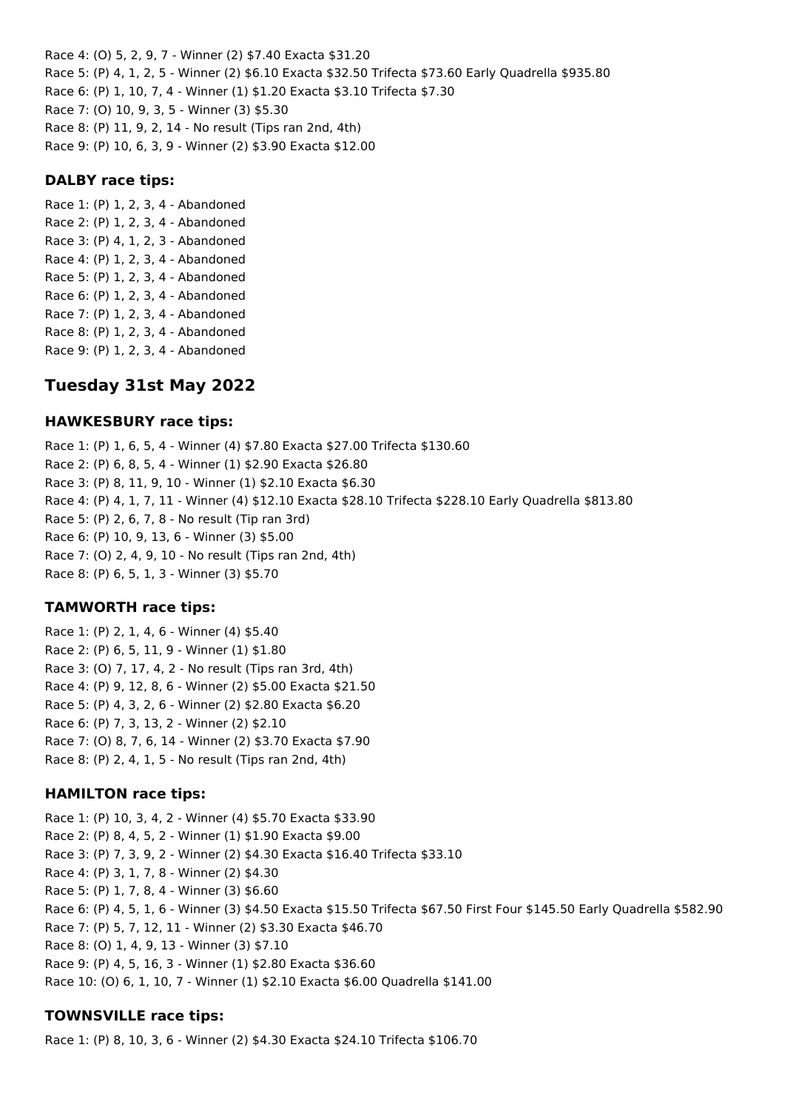Race 4: (O) 5, 2, 9, 7 - Winner (2) \$7.40 Exacta \$31.20 Race 5: (P) 4, 1, 2, 5 - Winner (2) \$6.10 Exacta \$32.50 Trifecta \$73.60 Early Quadrella \$935.80 Race 6: (P) 1, 10, 7, 4 - Winner (1) \$1.20 Exacta \$3.10 Trifecta \$7.30 Race 7: (O) 10, 9, 3, 5 - Winner (3) \$5.30 Race 8: (P) 11, 9, 2, 14 - No result (Tips ran 2nd, 4th) Race 9: (P) 10, 6, 3, 9 - Winner (2) \$3.90 Exacta \$12.00

#### **DALBY race tips:**

Race 1: (P) 1, 2, 3, 4 - Abandoned Race 2: (P) 1, 2, 3, 4 - Abandoned Race 3: (P) 4, 1, 2, 3 - Abandoned Race 4: (P) 1, 2, 3, 4 - Abandoned Race 5: (P) 1, 2, 3, 4 - Abandoned Race 6: (P) 1, 2, 3, 4 - Abandoned Race 7: (P) 1, 2, 3, 4 - Abandoned Race 8: (P) 1, 2, 3, 4 - Abandoned Race 9: (P) 1, 2, 3, 4 - Abandoned

# **Tuesday 31st May 2022**

### **HAWKESBURY race tips:**

Race 1: (P) 1, 6, 5, 4 - Winner (4) \$7.80 Exacta \$27.00 Trifecta \$130.60 Race 2: (P) 6, 8, 5, 4 - Winner (1) \$2.90 Exacta \$26.80 Race 3: (P) 8, 11, 9, 10 - Winner (1) \$2.10 Exacta \$6.30 Race 4: (P) 4, 1, 7, 11 - Winner (4) \$12.10 Exacta \$28.10 Trifecta \$228.10 Early Quadrella \$813.80 Race 5: (P) 2, 6, 7, 8 - No result (Tip ran 3rd) Race 6: (P) 10, 9, 13, 6 - Winner (3) \$5.00 Race 7: (O) 2, 4, 9, 10 - No result (Tips ran 2nd, 4th) Race 8: (P) 6, 5, 1, 3 - Winner (3) \$5.70

## **TAMWORTH race tips:**

Race 1: (P) 2, 1, 4, 6 - Winner (4) \$5.40 Race 2: (P) 6, 5, 11, 9 - Winner (1) \$1.80 Race 3: (O) 7, 17, 4, 2 - No result (Tips ran 3rd, 4th) Race 4: (P) 9, 12, 8, 6 - Winner (2) \$5.00 Exacta \$21.50 Race 5: (P) 4, 3, 2, 6 - Winner (2) \$2.80 Exacta \$6.20 Race 6: (P) 7, 3, 13, 2 - Winner (2) \$2.10 Race 7: (O) 8, 7, 6, 14 - Winner (2) \$3.70 Exacta \$7.90 Race 8: (P) 2, 4, 1, 5 - No result (Tips ran 2nd, 4th)

#### **HAMILTON race tips:**

Race 1: (P) 10, 3, 4, 2 - Winner (4) \$5.70 Exacta \$33.90 Race 2: (P) 8, 4, 5, 2 - Winner (1) \$1.90 Exacta \$9.00 Race 3: (P) 7, 3, 9, 2 - Winner (2) \$4.30 Exacta \$16.40 Trifecta \$33.10 Race 4: (P) 3, 1, 7, 8 - Winner (2) \$4.30 Race 5: (P) 1, 7, 8, 4 - Winner (3) \$6.60 Race 6: (P) 4, 5, 1, 6 - Winner (3) \$4.50 Exacta \$15.50 Trifecta \$67.50 First Four \$145.50 Early Quadrella \$582.90 Race 7: (P) 5, 7, 12, 11 - Winner (2) \$3.30 Exacta \$46.70 Race 8: (O) 1, 4, 9, 13 - Winner (3) \$7.10 Race 9: (P) 4, 5, 16, 3 - Winner (1) \$2.80 Exacta \$36.60 Race 10: (O) 6, 1, 10, 7 - Winner (1) \$2.10 Exacta \$6.00 Quadrella \$141.00

#### **TOWNSVILLE race tips:**

Race 1: (P) 8, 10, 3, 6 - Winner (2) \$4.30 Exacta \$24.10 Trifecta \$106.70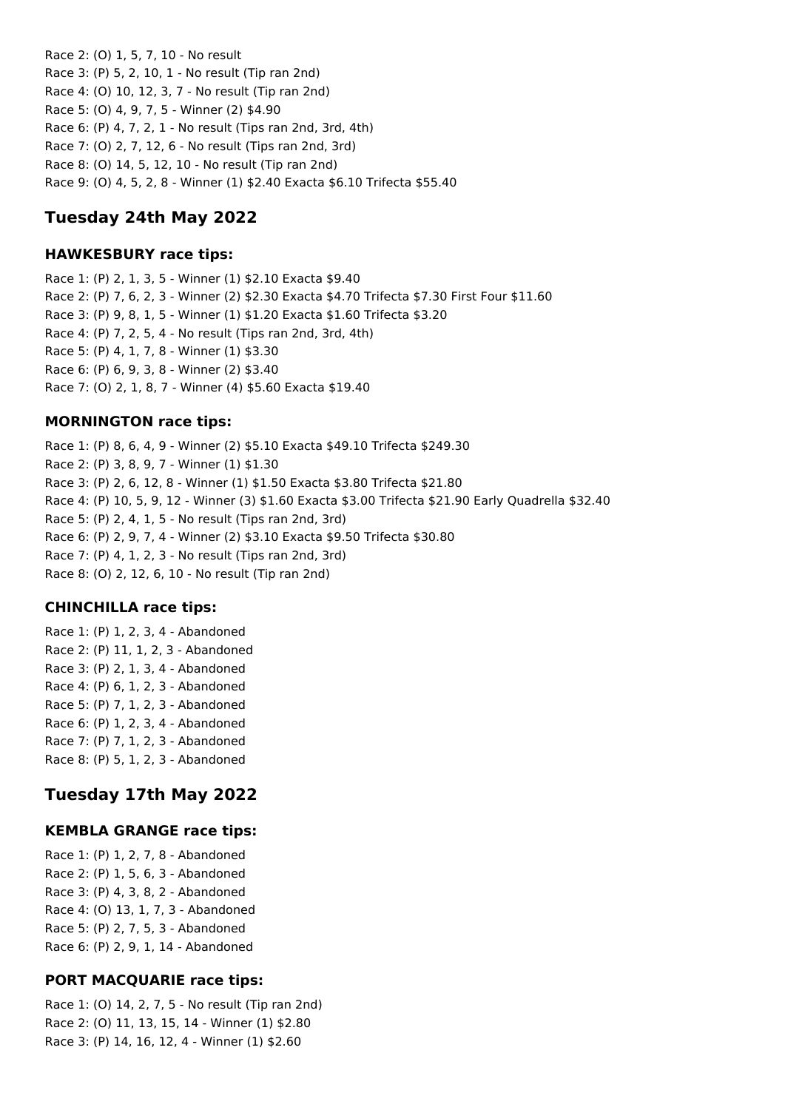Race 2: (O) 1, 5, 7, 10 - No result Race 3: (P) 5, 2, 10, 1 - No result (Tip ran 2nd) Race 4: (O) 10, 12, 3, 7 - No result (Tip ran 2nd) Race 5: (O) 4, 9, 7, 5 - Winner (2) \$4.90 Race 6: (P) 4, 7, 2, 1 - No result (Tips ran 2nd, 3rd, 4th) Race 7: (O) 2, 7, 12, 6 - No result (Tips ran 2nd, 3rd) Race 8: (O) 14, 5, 12, 10 - No result (Tip ran 2nd) Race 9: (O) 4, 5, 2, 8 - Winner (1) \$2.40 Exacta \$6.10 Trifecta \$55.40

# **Tuesday 24th May 2022**

### **HAWKESBURY race tips:**

Race 1: (P) 2, 1, 3, 5 - Winner (1) \$2.10 Exacta \$9.40 Race 2: (P) 7, 6, 2, 3 - Winner (2) \$2.30 Exacta \$4.70 Trifecta \$7.30 First Four \$11.60 Race 3: (P) 9, 8, 1, 5 - Winner (1) \$1.20 Exacta \$1.60 Trifecta \$3.20 Race 4: (P) 7, 2, 5, 4 - No result (Tips ran 2nd, 3rd, 4th) Race 5: (P) 4, 1, 7, 8 - Winner (1) \$3.30 Race 6: (P) 6, 9, 3, 8 - Winner (2) \$3.40 Race 7: (O) 2, 1, 8, 7 - Winner (4) \$5.60 Exacta \$19.40

## **MORNINGTON race tips:**

Race 1: (P) 8, 6, 4, 9 - Winner (2) \$5.10 Exacta \$49.10 Trifecta \$249.30 Race 2: (P) 3, 8, 9, 7 - Winner (1) \$1.30 Race 3: (P) 2, 6, 12, 8 - Winner (1) \$1.50 Exacta \$3.80 Trifecta \$21.80 Race 4: (P) 10, 5, 9, 12 - Winner (3) \$1.60 Exacta \$3.00 Trifecta \$21.90 Early Quadrella \$32.40 Race 5: (P) 2, 4, 1, 5 - No result (Tips ran 2nd, 3rd) Race 6: (P) 2, 9, 7, 4 - Winner (2) \$3.10 Exacta \$9.50 Trifecta \$30.80 Race 7: (P) 4, 1, 2, 3 - No result (Tips ran 2nd, 3rd) Race 8: (O) 2, 12, 6, 10 - No result (Tip ran 2nd)

## **CHINCHILLA race tips:**

Race 1: (P) 1, 2, 3, 4 - Abandoned Race 2: (P) 11, 1, 2, 3 - Abandoned Race 3: (P) 2, 1, 3, 4 - Abandoned Race 4: (P) 6, 1, 2, 3 - Abandoned Race 5: (P) 7, 1, 2, 3 - Abandoned Race 6: (P) 1, 2, 3, 4 - Abandoned Race 7: (P) 7, 1, 2, 3 - Abandoned Race 8: (P) 5, 1, 2, 3 - Abandoned

# **Tuesday 17th May 2022**

## **KEMBLA GRANGE race tips:**

Race 1: (P) 1, 2, 7, 8 - Abandoned Race 2: (P) 1, 5, 6, 3 - Abandoned Race 3: (P) 4, 3, 8, 2 - Abandoned Race 4: (O) 13, 1, 7, 3 - Abandoned Race 5: (P) 2, 7, 5, 3 - Abandoned Race 6: (P) 2, 9, 1, 14 - Abandoned

## **PORT MACQUARIE race tips:**

Race 1: (O) 14, 2, 7, 5 - No result (Tip ran 2nd) Race 2: (O) 11, 13, 15, 14 - Winner (1) \$2.80 Race 3: (P) 14, 16, 12, 4 - Winner (1) \$2.60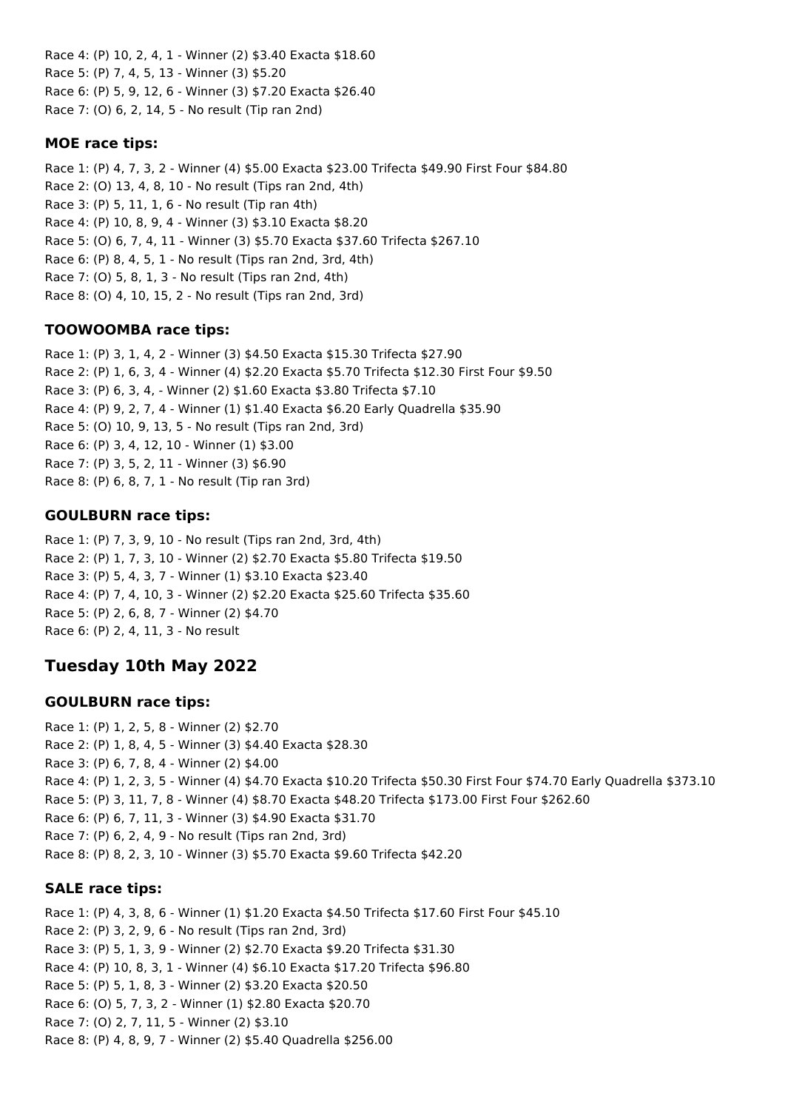Race 4: (P) 10, 2, 4, 1 - Winner (2) \$3.40 Exacta \$18.60 Race 5: (P) 7, 4, 5, 13 - Winner (3) \$5.20 Race 6: (P) 5, 9, 12, 6 - Winner (3) \$7.20 Exacta \$26.40 Race 7: (O) 6, 2, 14, 5 - No result (Tip ran 2nd)

## **MOE race tips:**

Race 1: (P) 4, 7, 3, 2 - Winner (4) \$5.00 Exacta \$23.00 Trifecta \$49.90 First Four \$84.80 Race 2: (O) 13, 4, 8, 10 - No result (Tips ran 2nd, 4th) Race 3: (P) 5, 11, 1, 6 - No result (Tip ran 4th) Race 4: (P) 10, 8, 9, 4 - Winner (3) \$3.10 Exacta \$8.20 Race 5: (O) 6, 7, 4, 11 - Winner (3) \$5.70 Exacta \$37.60 Trifecta \$267.10 Race 6: (P) 8, 4, 5, 1 - No result (Tips ran 2nd, 3rd, 4th) Race 7: (O) 5, 8, 1, 3 - No result (Tips ran 2nd, 4th) Race 8: (O) 4, 10, 15, 2 - No result (Tips ran 2nd, 3rd)

# **TOOWOOMBA race tips:**

Race 1: (P) 3, 1, 4, 2 - Winner (3) \$4.50 Exacta \$15.30 Trifecta \$27.90 Race 2: (P) 1, 6, 3, 4 - Winner (4) \$2.20 Exacta \$5.70 Trifecta \$12.30 First Four \$9.50 Race 3: (P) 6, 3, 4, - Winner (2) \$1.60 Exacta \$3.80 Trifecta \$7.10 Race 4: (P) 9, 2, 7, 4 - Winner (1) \$1.40 Exacta \$6.20 Early Quadrella \$35.90 Race 5: (O) 10, 9, 13, 5 - No result (Tips ran 2nd, 3rd) Race 6: (P) 3, 4, 12, 10 - Winner (1) \$3.00 Race 7: (P) 3, 5, 2, 11 - Winner (3) \$6.90 Race 8: (P) 6, 8, 7, 1 - No result (Tip ran 3rd)

# **GOULBURN race tips:**

Race 1: (P) 7, 3, 9, 10 - No result (Tips ran 2nd, 3rd, 4th) Race 2: (P) 1, 7, 3, 10 - Winner (2) \$2.70 Exacta \$5.80 Trifecta \$19.50 Race 3: (P) 5, 4, 3, 7 - Winner (1) \$3.10 Exacta \$23.40 Race 4: (P) 7, 4, 10, 3 - Winner (2) \$2.20 Exacta \$25.60 Trifecta \$35.60 Race 5: (P) 2, 6, 8, 7 - Winner (2) \$4.70 Race 6: (P) 2, 4, 11, 3 - No result

# **Tuesday 10th May 2022**

# **GOULBURN race tips:**

Race 1: (P) 1, 2, 5, 8 - Winner (2) \$2.70 Race 2: (P) 1, 8, 4, 5 - Winner (3) \$4.40 Exacta \$28.30 Race 3: (P) 6, 7, 8, 4 - Winner (2) \$4.00 Race 4: (P) 1, 2, 3, 5 - Winner (4) \$4.70 Exacta \$10.20 Trifecta \$50.30 First Four \$74.70 Early Quadrella \$373.10 Race 5: (P) 3, 11, 7, 8 - Winner (4) \$8.70 Exacta \$48.20 Trifecta \$173.00 First Four \$262.60 Race 6: (P) 6, 7, 11, 3 - Winner (3) \$4.90 Exacta \$31.70 Race 7: (P) 6, 2, 4, 9 - No result (Tips ran 2nd, 3rd) Race 8: (P) 8, 2, 3, 10 - Winner (3) \$5.70 Exacta \$9.60 Trifecta \$42.20

# **SALE race tips:**

Race 1: (P) 4, 3, 8, 6 - Winner (1) \$1.20 Exacta \$4.50 Trifecta \$17.60 First Four \$45.10 Race 2: (P) 3, 2, 9, 6 - No result (Tips ran 2nd, 3rd) Race 3: (P) 5, 1, 3, 9 - Winner (2) \$2.70 Exacta \$9.20 Trifecta \$31.30 Race 4: (P) 10, 8, 3, 1 - Winner (4) \$6.10 Exacta \$17.20 Trifecta \$96.80 Race 5: (P) 5, 1, 8, 3 - Winner (2) \$3.20 Exacta \$20.50 Race 6: (O) 5, 7, 3, 2 - Winner (1) \$2.80 Exacta \$20.70 Race 7: (O) 2, 7, 11, 5 - Winner (2) \$3.10 Race 8: (P) 4, 8, 9, 7 - Winner (2) \$5.40 Quadrella \$256.00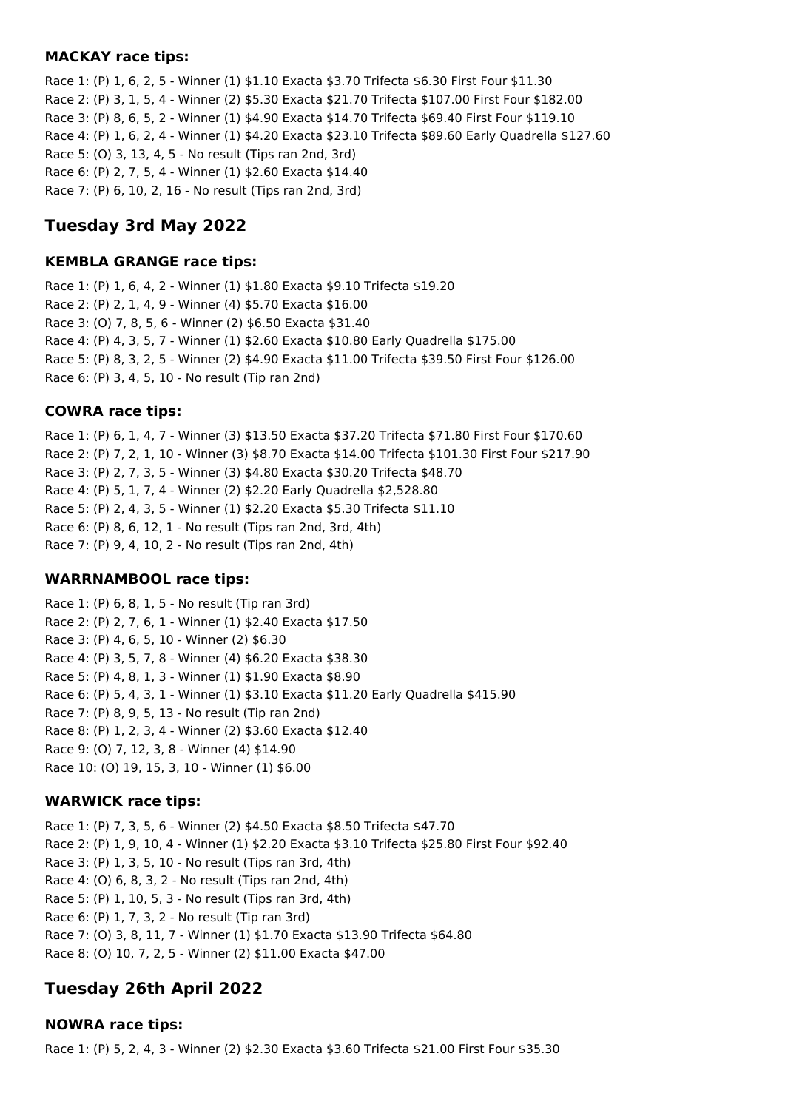#### **MACKAY race tips:**

Race 1: (P) 1, 6, 2, 5 - Winner (1) \$1.10 Exacta \$3.70 Trifecta \$6.30 First Four \$11.30 Race 2: (P) 3, 1, 5, 4 - Winner (2) \$5.30 Exacta \$21.70 Trifecta \$107.00 First Four \$182.00 Race 3: (P) 8, 6, 5, 2 - Winner (1) \$4.90 Exacta \$14.70 Trifecta \$69.40 First Four \$119.10 Race 4: (P) 1, 6, 2, 4 - Winner (1) \$4.20 Exacta \$23.10 Trifecta \$89.60 Early Quadrella \$127.60 Race 5: (O) 3, 13, 4, 5 - No result (Tips ran 2nd, 3rd) Race 6: (P) 2, 7, 5, 4 - Winner (1) \$2.60 Exacta \$14.40 Race 7: (P) 6, 10, 2, 16 - No result (Tips ran 2nd, 3rd)

# **Tuesday 3rd May 2022**

#### **KEMBLA GRANGE race tips:**

Race 1: (P) 1, 6, 4, 2 - Winner (1) \$1.80 Exacta \$9.10 Trifecta \$19.20 Race 2: (P) 2, 1, 4, 9 - Winner (4) \$5.70 Exacta \$16.00 Race 3: (O) 7, 8, 5, 6 - Winner (2) \$6.50 Exacta \$31.40 Race 4: (P) 4, 3, 5, 7 - Winner (1) \$2.60 Exacta \$10.80 Early Quadrella \$175.00 Race 5: (P) 8, 3, 2, 5 - Winner (2) \$4.90 Exacta \$11.00 Trifecta \$39.50 First Four \$126.00 Race 6: (P) 3, 4, 5, 10 - No result (Tip ran 2nd)

#### **COWRA race tips:**

Race 1: (P) 6, 1, 4, 7 - Winner (3) \$13.50 Exacta \$37.20 Trifecta \$71.80 First Four \$170.60 Race 2: (P) 7, 2, 1, 10 - Winner (3) \$8.70 Exacta \$14.00 Trifecta \$101.30 First Four \$217.90 Race 3: (P) 2, 7, 3, 5 - Winner (3) \$4.80 Exacta \$30.20 Trifecta \$48.70 Race 4: (P) 5, 1, 7, 4 - Winner (2) \$2.20 Early Quadrella \$2,528.80 Race 5: (P) 2, 4, 3, 5 - Winner (1) \$2.20 Exacta \$5.30 Trifecta \$11.10 Race 6: (P) 8, 6, 12, 1 - No result (Tips ran 2nd, 3rd, 4th) Race 7: (P) 9, 4, 10, 2 - No result (Tips ran 2nd, 4th)

#### **WARRNAMBOOL race tips:**

Race 1: (P) 6, 8, 1, 5 - No result (Tip ran 3rd) Race 2: (P) 2, 7, 6, 1 - Winner (1) \$2.40 Exacta \$17.50 Race 3: (P) 4, 6, 5, 10 - Winner (2) \$6.30 Race 4: (P) 3, 5, 7, 8 - Winner (4) \$6.20 Exacta \$38.30 Race 5: (P) 4, 8, 1, 3 - Winner (1) \$1.90 Exacta \$8.90 Race 6: (P) 5, 4, 3, 1 - Winner (1) \$3.10 Exacta \$11.20 Early Quadrella \$415.90 Race 7: (P) 8, 9, 5, 13 - No result (Tip ran 2nd) Race 8: (P) 1, 2, 3, 4 - Winner (2) \$3.60 Exacta \$12.40 Race 9: (O) 7, 12, 3, 8 - Winner (4) \$14.90 Race 10: (O) 19, 15, 3, 10 - Winner (1) \$6.00

#### **WARWICK race tips:**

Race 1: (P) 7, 3, 5, 6 - Winner (2) \$4.50 Exacta \$8.50 Trifecta \$47.70 Race 2: (P) 1, 9, 10, 4 - Winner (1) \$2.20 Exacta \$3.10 Trifecta \$25.80 First Four \$92.40 Race 3: (P) 1, 3, 5, 10 - No result (Tips ran 3rd, 4th) Race 4: (O) 6, 8, 3, 2 - No result (Tips ran 2nd, 4th) Race 5: (P) 1, 10, 5, 3 - No result (Tips ran 3rd, 4th) Race 6: (P) 1, 7, 3, 2 - No result (Tip ran 3rd) Race 7: (O) 3, 8, 11, 7 - Winner (1) \$1.70 Exacta \$13.90 Trifecta \$64.80 Race 8: (O) 10, 7, 2, 5 - Winner (2) \$11.00 Exacta \$47.00

## **Tuesday 26th April 2022**

### **NOWRA race tips:**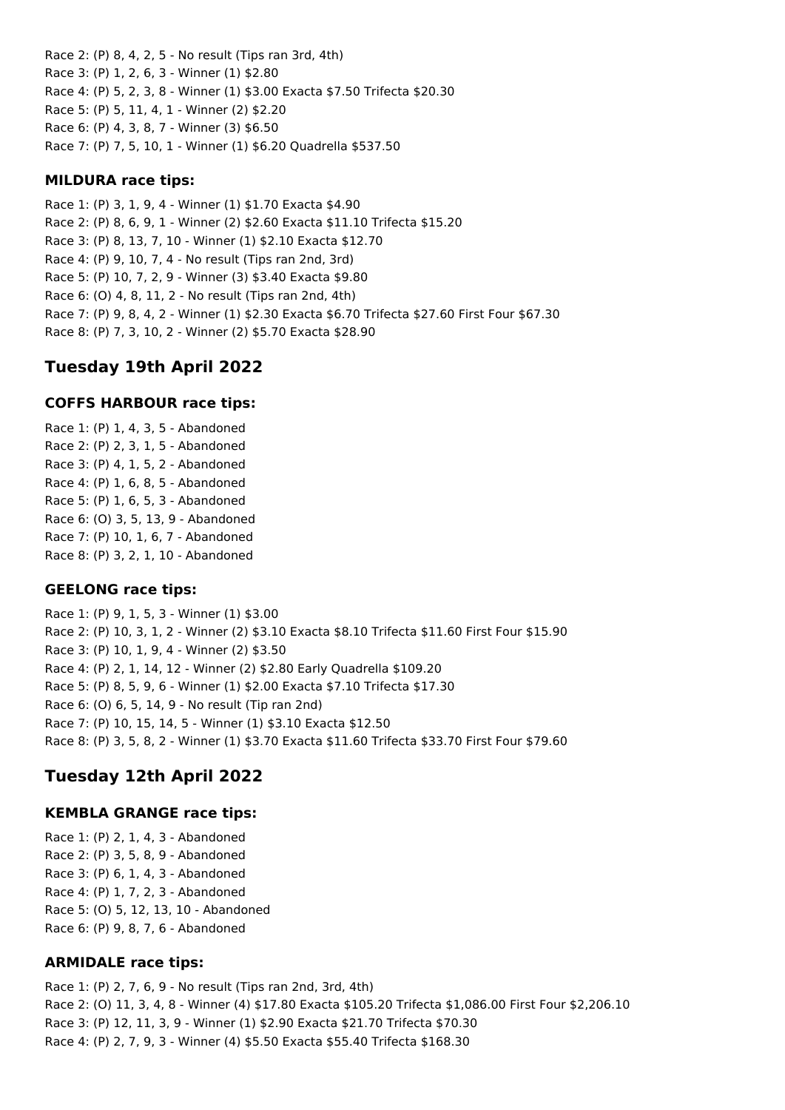Race 2: (P) 8, 4, 2, 5 - No result (Tips ran 3rd, 4th) Race 3: (P) 1, 2, 6, 3 - Winner (1) \$2.80 Race 4: (P) 5, 2, 3, 8 - Winner (1) \$3.00 Exacta \$7.50 Trifecta \$20.30 Race 5: (P) 5, 11, 4, 1 - Winner (2) \$2.20 Race 6: (P) 4, 3, 8, 7 - Winner (3) \$6.50 Race 7: (P) 7, 5, 10, 1 - Winner (1) \$6.20 Quadrella \$537.50

### **MILDURA race tips:**

Race 1: (P) 3, 1, 9, 4 - Winner (1) \$1.70 Exacta \$4.90 Race 2: (P) 8, 6, 9, 1 - Winner (2) \$2.60 Exacta \$11.10 Trifecta \$15.20 Race 3: (P) 8, 13, 7, 10 - Winner (1) \$2.10 Exacta \$12.70 Race 4: (P) 9, 10, 7, 4 - No result (Tips ran 2nd, 3rd) Race 5: (P) 10, 7, 2, 9 - Winner (3) \$3.40 Exacta \$9.80 Race 6: (O) 4, 8, 11, 2 - No result (Tips ran 2nd, 4th) Race 7: (P) 9, 8, 4, 2 - Winner (1) \$2.30 Exacta \$6.70 Trifecta \$27.60 First Four \$67.30 Race 8: (P) 7, 3, 10, 2 - Winner (2) \$5.70 Exacta \$28.90

# **Tuesday 19th April 2022**

#### **COFFS HARBOUR race tips:**

Race 1: (P) 1, 4, 3, 5 - Abandoned Race 2: (P) 2, 3, 1, 5 - Abandoned Race 3: (P) 4, 1, 5, 2 - Abandoned Race 4: (P) 1, 6, 8, 5 - Abandoned Race 5: (P) 1, 6, 5, 3 - Abandoned Race 6: (O) 3, 5, 13, 9 - Abandoned Race 7: (P) 10, 1, 6, 7 - Abandoned Race 8: (P) 3, 2, 1, 10 - Abandoned

## **GEELONG race tips:**

Race 1: (P) 9, 1, 5, 3 - Winner (1) \$3.00 Race 2: (P) 10, 3, 1, 2 - Winner (2) \$3.10 Exacta \$8.10 Trifecta \$11.60 First Four \$15.90 Race 3: (P) 10, 1, 9, 4 - Winner (2) \$3.50 Race 4: (P) 2, 1, 14, 12 - Winner (2) \$2.80 Early Quadrella \$109.20 Race 5: (P) 8, 5, 9, 6 - Winner (1) \$2.00 Exacta \$7.10 Trifecta \$17.30 Race 6: (O) 6, 5, 14, 9 - No result (Tip ran 2nd) Race 7: (P) 10, 15, 14, 5 - Winner (1) \$3.10 Exacta \$12.50 Race 8: (P) 3, 5, 8, 2 - Winner (1) \$3.70 Exacta \$11.60 Trifecta \$33.70 First Four \$79.60

# **Tuesday 12th April 2022**

## **KEMBLA GRANGE race tips:**

Race 1: (P) 2, 1, 4, 3 - Abandoned Race 2: (P) 3, 5, 8, 9 - Abandoned Race 3: (P) 6, 1, 4, 3 - Abandoned Race 4: (P) 1, 7, 2, 3 - Abandoned Race 5: (O) 5, 12, 13, 10 - Abandoned Race 6: (P) 9, 8, 7, 6 - Abandoned

## **ARMIDALE race tips:**

Race 1: (P) 2, 7, 6, 9 - No result (Tips ran 2nd, 3rd, 4th) Race 2: (O) 11, 3, 4, 8 - Winner (4) \$17.80 Exacta \$105.20 Trifecta \$1,086.00 First Four \$2,206.10 Race 3: (P) 12, 11, 3, 9 - Winner (1) \$2.90 Exacta \$21.70 Trifecta \$70.30 Race 4: (P) 2, 7, 9, 3 - Winner (4) \$5.50 Exacta \$55.40 Trifecta \$168.30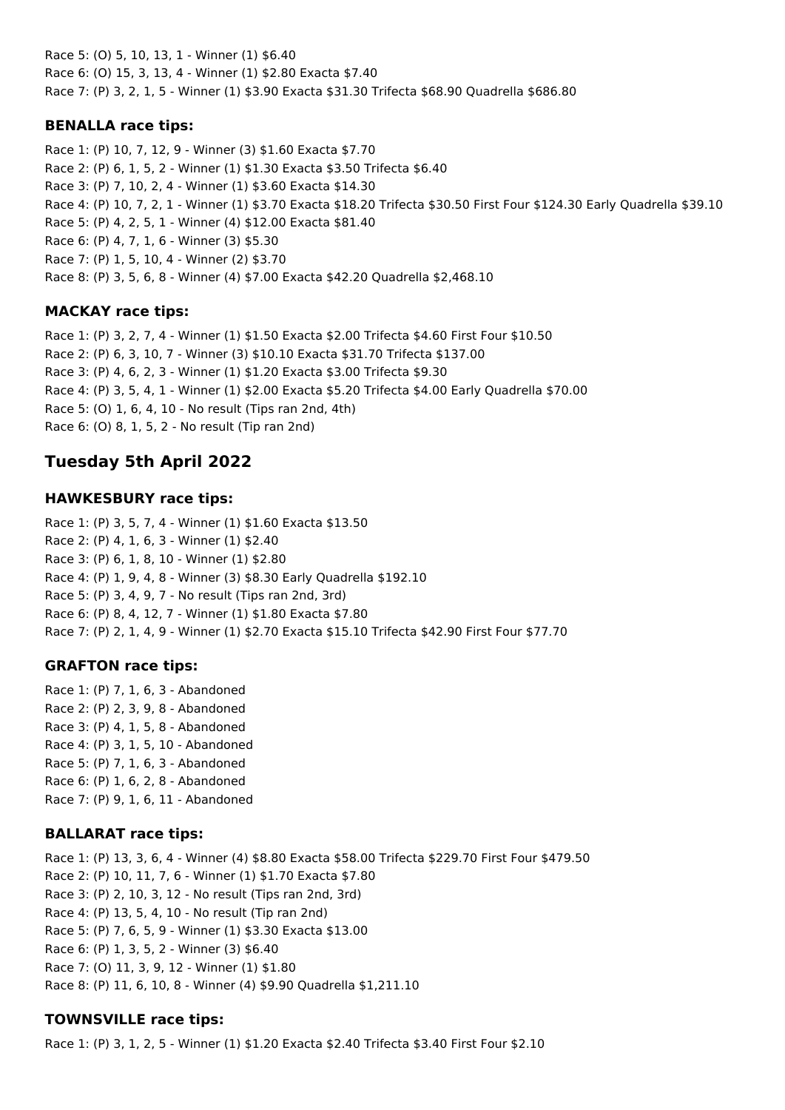Race 5: (O) 5, 10, 13, 1 - Winner (1) \$6.40 Race 6: (O) 15, 3, 13, 4 - Winner (1) \$2.80 Exacta \$7.40 Race 7: (P) 3, 2, 1, 5 - Winner (1) \$3.90 Exacta \$31.30 Trifecta \$68.90 Quadrella \$686.80

## **BENALLA race tips:**

Race 1: (P) 10, 7, 12, 9 - Winner (3) \$1.60 Exacta \$7.70 Race 2: (P) 6, 1, 5, 2 - Winner (1) \$1.30 Exacta \$3.50 Trifecta \$6.40 Race 3: (P) 7, 10, 2, 4 - Winner (1) \$3.60 Exacta \$14.30 Race 4: (P) 10, 7, 2, 1 - Winner (1) \$3.70 Exacta \$18.20 Trifecta \$30.50 First Four \$124.30 Early Quadrella \$39.10 Race 5: (P) 4, 2, 5, 1 - Winner (4) \$12.00 Exacta \$81.40 Race 6: (P) 4, 7, 1, 6 - Winner (3) \$5.30 Race 7: (P) 1, 5, 10, 4 - Winner (2) \$3.70 Race 8: (P) 3, 5, 6, 8 - Winner (4) \$7.00 Exacta \$42.20 Quadrella \$2,468.10

# **MACKAY race tips:**

Race 1: (P) 3, 2, 7, 4 - Winner (1) \$1.50 Exacta \$2.00 Trifecta \$4.60 First Four \$10.50 Race 2: (P) 6, 3, 10, 7 - Winner (3) \$10.10 Exacta \$31.70 Trifecta \$137.00 Race 3: (P) 4, 6, 2, 3 - Winner (1) \$1.20 Exacta \$3.00 Trifecta \$9.30 Race 4: (P) 3, 5, 4, 1 - Winner (1) \$2.00 Exacta \$5.20 Trifecta \$4.00 Early Quadrella \$70.00 Race 5: (O) 1, 6, 4, 10 - No result (Tips ran 2nd, 4th) Race 6: (O) 8, 1, 5, 2 - No result (Tip ran 2nd)

# **Tuesday 5th April 2022**

# **HAWKESBURY race tips:**

Race 1: (P) 3, 5, 7, 4 - Winner (1) \$1.60 Exacta \$13.50 Race 2: (P) 4, 1, 6, 3 - Winner (1) \$2.40 Race 3: (P) 6, 1, 8, 10 - Winner (1) \$2.80 Race 4: (P) 1, 9, 4, 8 - Winner (3) \$8.30 Early Quadrella \$192.10 Race 5: (P) 3, 4, 9, 7 - No result (Tips ran 2nd, 3rd) Race 6: (P) 8, 4, 12, 7 - Winner (1) \$1.80 Exacta \$7.80 Race 7: (P) 2, 1, 4, 9 - Winner (1) \$2.70 Exacta \$15.10 Trifecta \$42.90 First Four \$77.70

# **GRAFTON race tips:**

Race 1: (P) 7, 1, 6, 3 - Abandoned Race 2: (P) 2, 3, 9, 8 - Abandoned Race 3: (P) 4, 1, 5, 8 - Abandoned Race 4: (P) 3, 1, 5, 10 - Abandoned Race 5: (P) 7, 1, 6, 3 - Abandoned Race 6: (P) 1, 6, 2, 8 - Abandoned Race 7: (P) 9, 1, 6, 11 - Abandoned

# **BALLARAT race tips:**

Race 1: (P) 13, 3, 6, 4 - Winner (4) \$8.80 Exacta \$58.00 Trifecta \$229.70 First Four \$479.50 Race 2: (P) 10, 11, 7, 6 - Winner (1) \$1.70 Exacta \$7.80 Race 3: (P) 2, 10, 3, 12 - No result (Tips ran 2nd, 3rd) Race 4: (P) 13, 5, 4, 10 - No result (Tip ran 2nd) Race 5: (P) 7, 6, 5, 9 - Winner (1) \$3.30 Exacta \$13.00 Race 6: (P) 1, 3, 5, 2 - Winner (3) \$6.40 Race 7: (O) 11, 3, 9, 12 - Winner (1) \$1.80 Race 8: (P) 11, 6, 10, 8 - Winner (4) \$9.90 Quadrella \$1,211.10

# **TOWNSVILLE race tips:**

Race 1: (P) 3, 1, 2, 5 - Winner (1) \$1.20 Exacta \$2.40 Trifecta \$3.40 First Four \$2.10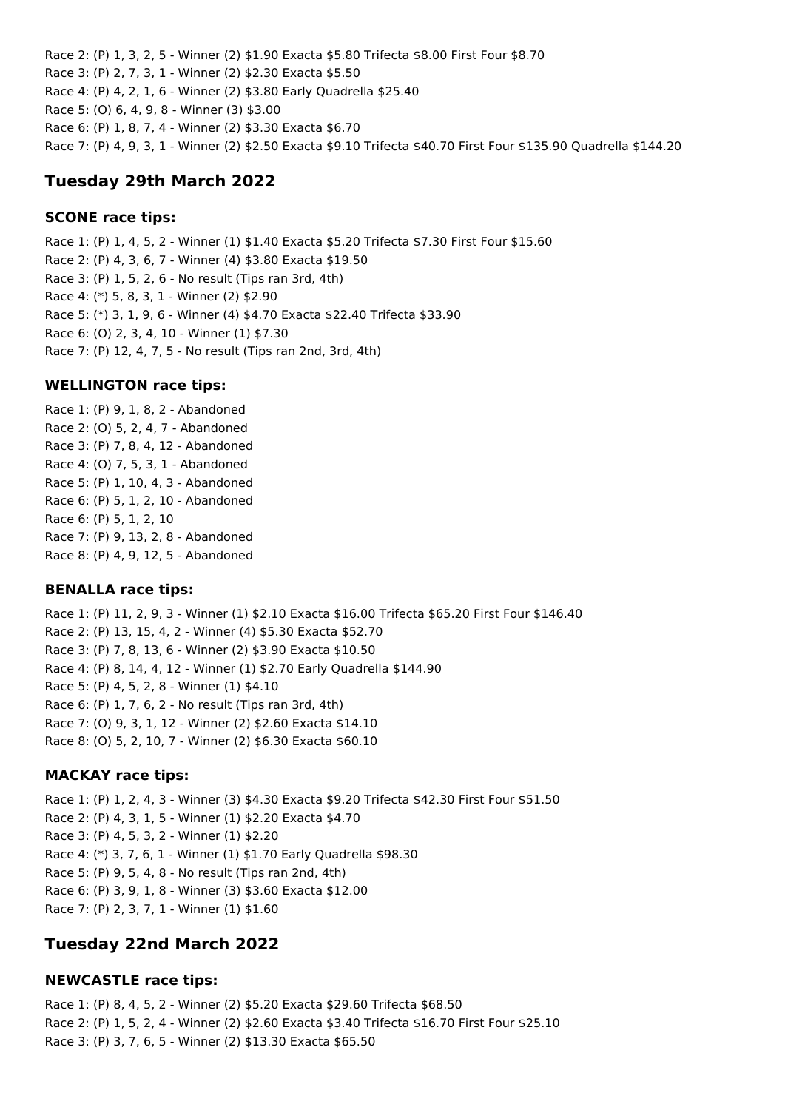Race 2: (P) 1, 3, 2, 5 - Winner (2) \$1.90 Exacta \$5.80 Trifecta \$8.00 First Four \$8.70 Race 3: (P) 2, 7, 3, 1 - Winner (2) \$2.30 Exacta \$5.50 Race 4: (P) 4, 2, 1, 6 - Winner (2) \$3.80 Early Quadrella \$25.40 Race 5: (O) 6, 4, 9, 8 - Winner (3) \$3.00 Race 6: (P) 1, 8, 7, 4 - Winner (2) \$3.30 Exacta \$6.70 Race 7: (P) 4, 9, 3, 1 - Winner (2) \$2.50 Exacta \$9.10 Trifecta \$40.70 First Four \$135.90 Quadrella \$144.20

## **Tuesday 29th March 2022**

#### **SCONE race tips:**

Race 1: (P) 1, 4, 5, 2 - Winner (1) \$1.40 Exacta \$5.20 Trifecta \$7.30 First Four \$15.60 Race 2: (P) 4, 3, 6, 7 - Winner (4) \$3.80 Exacta \$19.50 Race 3: (P) 1, 5, 2, 6 - No result (Tips ran 3rd, 4th) Race 4: (\*) 5, 8, 3, 1 - Winner (2) \$2.90 Race 5: (\*) 3, 1, 9, 6 - Winner (4) \$4.70 Exacta \$22.40 Trifecta \$33.90 Race 6: (O) 2, 3, 4, 10 - Winner (1) \$7.30 Race 7: (P) 12, 4, 7, 5 - No result (Tips ran 2nd, 3rd, 4th)

#### **WELLINGTON race tips:**

Race 1: (P) 9, 1, 8, 2 - Abandoned Race 2: (O) 5, 2, 4, 7 - Abandoned Race 3: (P) 7, 8, 4, 12 - Abandoned Race 4: (O) 7, 5, 3, 1 - Abandoned Race 5: (P) 1, 10, 4, 3 - Abandoned Race 6: (P) 5, 1, 2, 10 - Abandoned Race 6: (P) 5, 1, 2, 10 Race 7: (P) 9, 13, 2, 8 - Abandoned Race 8: (P) 4, 9, 12, 5 - Abandoned

#### **BENALLA race tips:**

Race 1: (P) 11, 2, 9, 3 - Winner (1) \$2.10 Exacta \$16.00 Trifecta \$65.20 First Four \$146.40 Race 2: (P) 13, 15, 4, 2 - Winner (4) \$5.30 Exacta \$52.70 Race 3: (P) 7, 8, 13, 6 - Winner (2) \$3.90 Exacta \$10.50 Race 4: (P) 8, 14, 4, 12 - Winner (1) \$2.70 Early Quadrella \$144.90 Race 5: (P) 4, 5, 2, 8 - Winner (1) \$4.10 Race 6: (P) 1, 7, 6, 2 - No result (Tips ran 3rd, 4th) Race 7: (O) 9, 3, 1, 12 - Winner (2) \$2.60 Exacta \$14.10 Race 8: (O) 5, 2, 10, 7 - Winner (2) \$6.30 Exacta \$60.10

#### **MACKAY race tips:**

Race 1: (P) 1, 2, 4, 3 - Winner (3) \$4.30 Exacta \$9.20 Trifecta \$42.30 First Four \$51.50 Race 2: (P) 4, 3, 1, 5 - Winner (1) \$2.20 Exacta \$4.70 Race 3: (P) 4, 5, 3, 2 - Winner (1) \$2.20 Race 4: (\*) 3, 7, 6, 1 - Winner (1) \$1.70 Early Quadrella \$98.30 Race 5: (P) 9, 5, 4, 8 - No result (Tips ran 2nd, 4th) Race 6: (P) 3, 9, 1, 8 - Winner (3) \$3.60 Exacta \$12.00 Race 7: (P) 2, 3, 7, 1 - Winner (1) \$1.60

## **Tuesday 22nd March 2022**

#### **NEWCASTLE race tips:**

Race 1: (P) 8, 4, 5, 2 - Winner (2) \$5.20 Exacta \$29.60 Trifecta \$68.50 Race 2: (P) 1, 5, 2, 4 - Winner (2) \$2.60 Exacta \$3.40 Trifecta \$16.70 First Four \$25.10 Race 3: (P) 3, 7, 6, 5 - Winner (2) \$13.30 Exacta \$65.50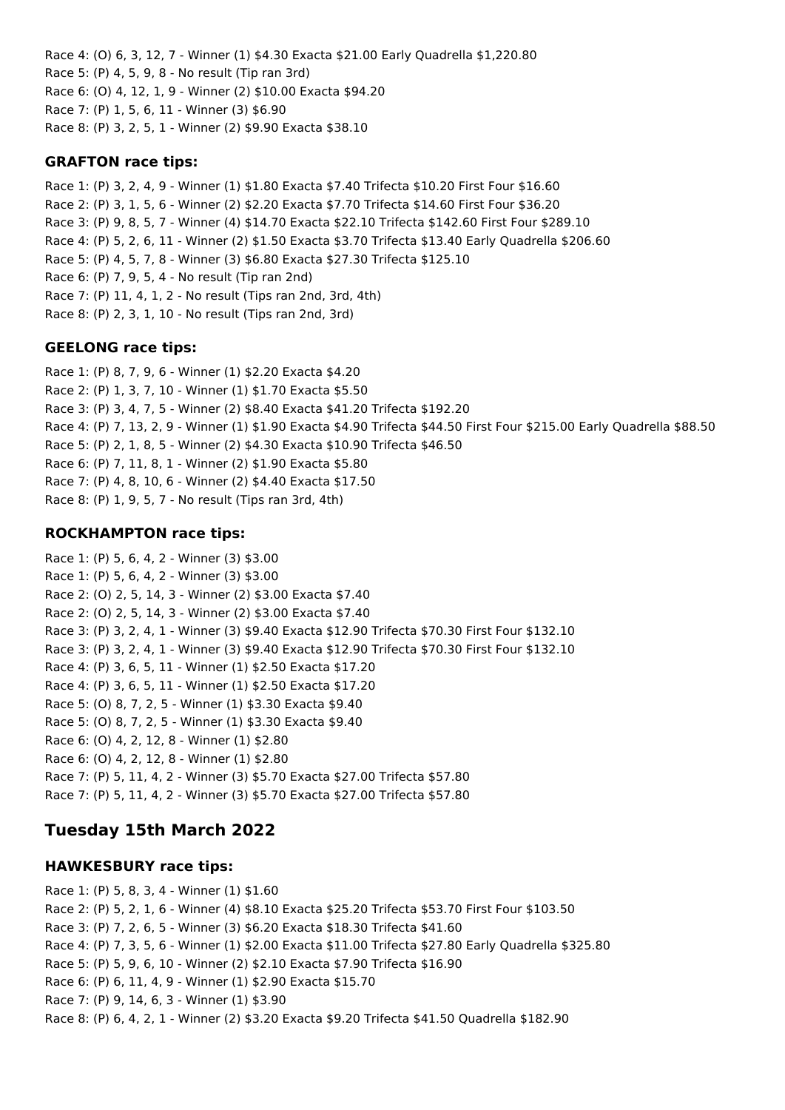Race 4: (O) 6, 3, 12, 7 - Winner (1) \$4.30 Exacta \$21.00 Early Quadrella \$1,220.80 Race 5: (P) 4, 5, 9, 8 - No result (Tip ran 3rd) Race 6: (O) 4, 12, 1, 9 - Winner (2) \$10.00 Exacta \$94.20 Race 7: (P) 1, 5, 6, 11 - Winner (3) \$6.90 Race 8: (P) 3, 2, 5, 1 - Winner (2) \$9.90 Exacta \$38.10

### **GRAFTON race tips:**

Race 1: (P) 3, 2, 4, 9 - Winner (1) \$1.80 Exacta \$7.40 Trifecta \$10.20 First Four \$16.60 Race 2: (P) 3, 1, 5, 6 - Winner (2) \$2.20 Exacta \$7.70 Trifecta \$14.60 First Four \$36.20 Race 3: (P) 9, 8, 5, 7 - Winner (4) \$14.70 Exacta \$22.10 Trifecta \$142.60 First Four \$289.10 Race 4: (P) 5, 2, 6, 11 - Winner (2) \$1.50 Exacta \$3.70 Trifecta \$13.40 Early Quadrella \$206.60 Race 5: (P) 4, 5, 7, 8 - Winner (3) \$6.80 Exacta \$27.30 Trifecta \$125.10 Race 6: (P) 7, 9, 5, 4 - No result (Tip ran 2nd) Race 7: (P) 11, 4, 1, 2 - No result (Tips ran 2nd, 3rd, 4th) Race 8: (P) 2, 3, 1, 10 - No result (Tips ran 2nd, 3rd)

### **GEELONG race tips:**

Race 1: (P) 8, 7, 9, 6 - Winner (1) \$2.20 Exacta \$4.20 Race 2: (P) 1, 3, 7, 10 - Winner (1) \$1.70 Exacta \$5.50 Race 3: (P) 3, 4, 7, 5 - Winner (2) \$8.40 Exacta \$41.20 Trifecta \$192.20 Race 4: (P) 7, 13, 2, 9 - Winner (1) \$1.90 Exacta \$4.90 Trifecta \$44.50 First Four \$215.00 Early Quadrella \$88.50 Race 5: (P) 2, 1, 8, 5 - Winner (2) \$4.30 Exacta \$10.90 Trifecta \$46.50 Race 6: (P) 7, 11, 8, 1 - Winner (2) \$1.90 Exacta \$5.80 Race 7: (P) 4, 8, 10, 6 - Winner (2) \$4.40 Exacta \$17.50 Race 8: (P) 1, 9, 5, 7 - No result (Tips ran 3rd, 4th)

### **ROCKHAMPTON race tips:**

Race 1: (P) 5, 6, 4, 2 - Winner (3) \$3.00 Race 1: (P) 5, 6, 4, 2 - Winner (3) \$3.00 Race 2: (O) 2, 5, 14, 3 - Winner (2) \$3.00 Exacta \$7.40 Race 2: (O) 2, 5, 14, 3 - Winner (2) \$3.00 Exacta \$7.40 Race 3: (P) 3, 2, 4, 1 - Winner (3) \$9.40 Exacta \$12.90 Trifecta \$70.30 First Four \$132.10 Race 3: (P) 3, 2, 4, 1 - Winner (3) \$9.40 Exacta \$12.90 Trifecta \$70.30 First Four \$132.10 Race 4: (P) 3, 6, 5, 11 - Winner (1) \$2.50 Exacta \$17.20 Race 4: (P) 3, 6, 5, 11 - Winner (1) \$2.50 Exacta \$17.20 Race 5: (O) 8, 7, 2, 5 - Winner (1) \$3.30 Exacta \$9.40 Race 5: (O) 8, 7, 2, 5 - Winner (1) \$3.30 Exacta \$9.40 Race 6: (O) 4, 2, 12, 8 - Winner (1) \$2.80 Race 6: (O) 4, 2, 12, 8 - Winner (1) \$2.80 Race 7: (P) 5, 11, 4, 2 - Winner (3) \$5.70 Exacta \$27.00 Trifecta \$57.80 Race 7: (P) 5, 11, 4, 2 - Winner (3) \$5.70 Exacta \$27.00 Trifecta \$57.80

# **Tuesday 15th March 2022**

#### **HAWKESBURY race tips:**

Race 1: (P) 5, 8, 3, 4 - Winner (1) \$1.60 Race 2: (P) 5, 2, 1, 6 - Winner (4) \$8.10 Exacta \$25.20 Trifecta \$53.70 First Four \$103.50 Race 3: (P) 7, 2, 6, 5 - Winner (3) \$6.20 Exacta \$18.30 Trifecta \$41.60 Race 4: (P) 7, 3, 5, 6 - Winner (1) \$2.00 Exacta \$11.00 Trifecta \$27.80 Early Quadrella \$325.80 Race 5: (P) 5, 9, 6, 10 - Winner (2) \$2.10 Exacta \$7.90 Trifecta \$16.90 Race 6: (P) 6, 11, 4, 9 - Winner (1) \$2.90 Exacta \$15.70 Race 7: (P) 9, 14, 6, 3 - Winner (1) \$3.90 Race 8: (P) 6, 4, 2, 1 - Winner (2) \$3.20 Exacta \$9.20 Trifecta \$41.50 Quadrella \$182.90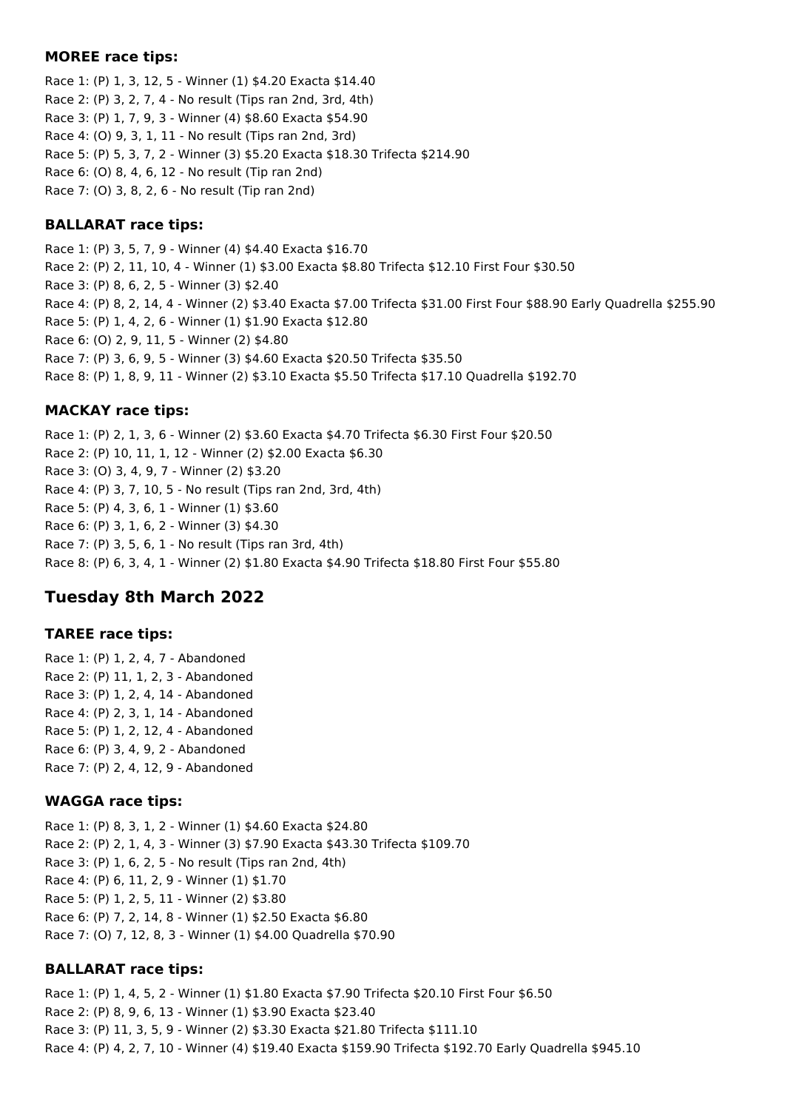#### **MOREE race tips:**

Race 1: (P) 1, 3, 12, 5 - Winner (1) \$4.20 Exacta \$14.40 Race 2: (P) 3, 2, 7, 4 - No result (Tips ran 2nd, 3rd, 4th) Race 3: (P) 1, 7, 9, 3 - Winner (4) \$8.60 Exacta \$54.90 Race 4: (O) 9, 3, 1, 11 - No result (Tips ran 2nd, 3rd) Race 5: (P) 5, 3, 7, 2 - Winner (3) \$5.20 Exacta \$18.30 Trifecta \$214.90 Race 6: (O) 8, 4, 6, 12 - No result (Tip ran 2nd) Race 7: (O) 3, 8, 2, 6 - No result (Tip ran 2nd)

### **BALLARAT race tips:**

Race 1: (P) 3, 5, 7, 9 - Winner (4) \$4.40 Exacta \$16.70 Race 2: (P) 2, 11, 10, 4 - Winner (1) \$3.00 Exacta \$8.80 Trifecta \$12.10 First Four \$30.50 Race 3: (P) 8, 6, 2, 5 - Winner (3) \$2.40 Race 4: (P) 8, 2, 14, 4 - Winner (2) \$3.40 Exacta \$7.00 Trifecta \$31.00 First Four \$88.90 Early Quadrella \$255.90 Race 5: (P) 1, 4, 2, 6 - Winner (1) \$1.90 Exacta \$12.80 Race 6: (O) 2, 9, 11, 5 - Winner (2) \$4.80 Race 7: (P) 3, 6, 9, 5 - Winner (3) \$4.60 Exacta \$20.50 Trifecta \$35.50 Race 8: (P) 1, 8, 9, 11 - Winner (2) \$3.10 Exacta \$5.50 Trifecta \$17.10 Quadrella \$192.70

### **MACKAY race tips:**

Race 1: (P) 2, 1, 3, 6 - Winner (2) \$3.60 Exacta \$4.70 Trifecta \$6.30 First Four \$20.50 Race 2: (P) 10, 11, 1, 12 - Winner (2) \$2.00 Exacta \$6.30 Race 3: (O) 3, 4, 9, 7 - Winner (2) \$3.20 Race 4: (P) 3, 7, 10, 5 - No result (Tips ran 2nd, 3rd, 4th) Race 5: (P) 4, 3, 6, 1 - Winner (1) \$3.60 Race 6: (P) 3, 1, 6, 2 - Winner (3) \$4.30 Race 7: (P) 3, 5, 6, 1 - No result (Tips ran 3rd, 4th) Race 8: (P) 6, 3, 4, 1 - Winner (2) \$1.80 Exacta \$4.90 Trifecta \$18.80 First Four \$55.80

# **Tuesday 8th March 2022**

#### **TAREE race tips:**

Race 1: (P) 1, 2, 4, 7 - Abandoned Race 2: (P) 11, 1, 2, 3 - Abandoned Race 3: (P) 1, 2, 4, 14 - Abandoned Race 4: (P) 2, 3, 1, 14 - Abandoned Race 5: (P) 1, 2, 12, 4 - Abandoned Race 6: (P) 3, 4, 9, 2 - Abandoned Race 7: (P) 2, 4, 12, 9 - Abandoned

#### **WAGGA race tips:**

Race 1: (P) 8, 3, 1, 2 - Winner (1) \$4.60 Exacta \$24.80 Race 2: (P) 2, 1, 4, 3 - Winner (3) \$7.90 Exacta \$43.30 Trifecta \$109.70 Race 3: (P) 1, 6, 2, 5 - No result (Tips ran 2nd, 4th) Race 4: (P) 6, 11, 2, 9 - Winner (1) \$1.70 Race 5: (P) 1, 2, 5, 11 - Winner (2) \$3.80 Race 6: (P) 7, 2, 14, 8 - Winner (1) \$2.50 Exacta \$6.80 Race 7: (O) 7, 12, 8, 3 - Winner (1) \$4.00 Quadrella \$70.90

#### **BALLARAT race tips:**

Race 1: (P) 1, 4, 5, 2 - Winner (1) \$1.80 Exacta \$7.90 Trifecta \$20.10 First Four \$6.50 Race 2: (P) 8, 9, 6, 13 - Winner (1) \$3.90 Exacta \$23.40 Race 3: (P) 11, 3, 5, 9 - Winner (2) \$3.30 Exacta \$21.80 Trifecta \$111.10 Race 4: (P) 4, 2, 7, 10 - Winner (4) \$19.40 Exacta \$159.90 Trifecta \$192.70 Early Quadrella \$945.10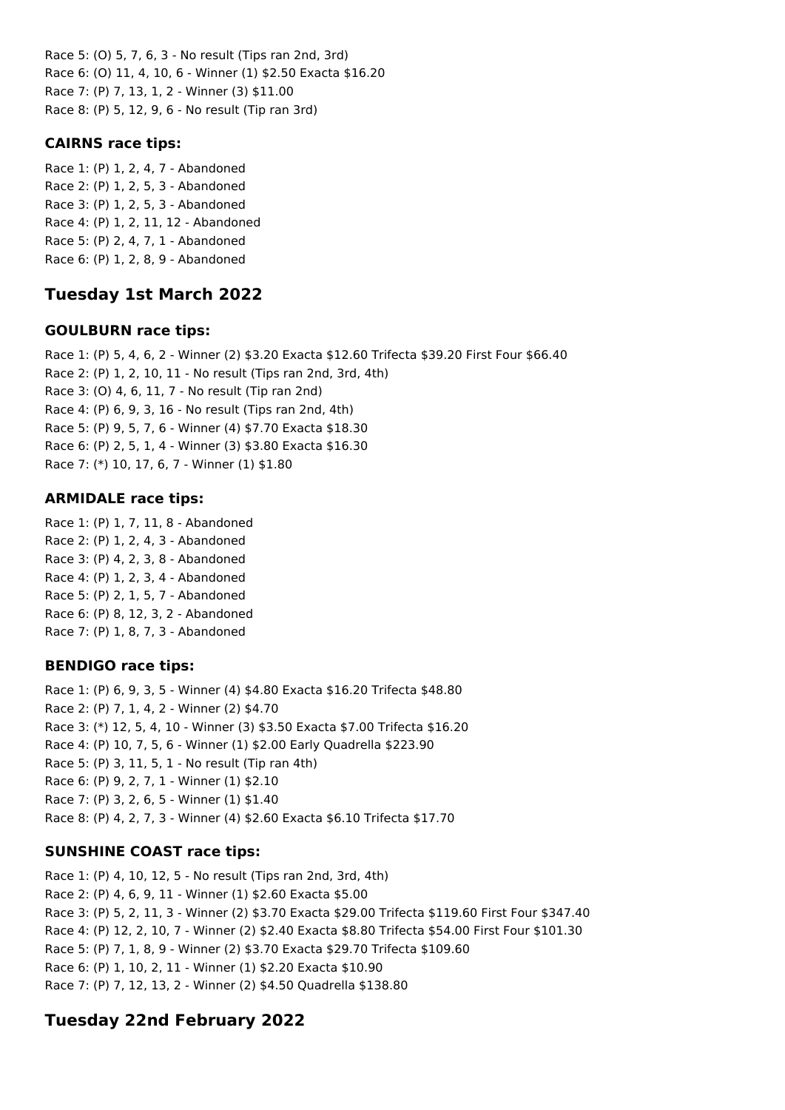Race 5: (O) 5, 7, 6, 3 - No result (Tips ran 2nd, 3rd) Race 6: (O) 11, 4, 10, 6 - Winner (1) \$2.50 Exacta \$16.20 Race 7: (P) 7, 13, 1, 2 - Winner (3) \$11.00 Race 8: (P) 5, 12, 9, 6 - No result (Tip ran 3rd)

# **CAIRNS race tips:**

Race 1: (P) 1, 2, 4, 7 - Abandoned Race 2: (P) 1, 2, 5, 3 - Abandoned Race 3: (P) 1, 2, 5, 3 - Abandoned Race 4: (P) 1, 2, 11, 12 - Abandoned Race 5: (P) 2, 4, 7, 1 - Abandoned Race 6: (P) 1, 2, 8, 9 - Abandoned

# **Tuesday 1st March 2022**

# **GOULBURN race tips:**

Race 1: (P) 5, 4, 6, 2 - Winner (2) \$3.20 Exacta \$12.60 Trifecta \$39.20 First Four \$66.40 Race 2: (P) 1, 2, 10, 11 - No result (Tips ran 2nd, 3rd, 4th) Race 3: (O) 4, 6, 11, 7 - No result (Tip ran 2nd) Race 4: (P) 6, 9, 3, 16 - No result (Tips ran 2nd, 4th) Race 5: (P) 9, 5, 7, 6 - Winner (4) \$7.70 Exacta \$18.30 Race 6: (P) 2, 5, 1, 4 - Winner (3) \$3.80 Exacta \$16.30 Race 7: (\*) 10, 17, 6, 7 - Winner (1) \$1.80

# **ARMIDALE race tips:**

Race 1: (P) 1, 7, 11, 8 - Abandoned Race 2: (P) 1, 2, 4, 3 - Abandoned Race 3: (P) 4, 2, 3, 8 - Abandoned Race 4: (P) 1, 2, 3, 4 - Abandoned Race 5: (P) 2, 1, 5, 7 - Abandoned Race 6: (P) 8, 12, 3, 2 - Abandoned Race 7: (P) 1, 8, 7, 3 - Abandoned

# **BENDIGO race tips:**

Race 1: (P) 6, 9, 3, 5 - Winner (4) \$4.80 Exacta \$16.20 Trifecta \$48.80 Race 2: (P) 7, 1, 4, 2 - Winner (2) \$4.70 Race 3: (\*) 12, 5, 4, 10 - Winner (3) \$3.50 Exacta \$7.00 Trifecta \$16.20 Race 4: (P) 10, 7, 5, 6 - Winner (1) \$2.00 Early Quadrella \$223.90 Race 5: (P) 3, 11, 5, 1 - No result (Tip ran 4th) Race 6: (P) 9, 2, 7, 1 - Winner (1) \$2.10 Race 7: (P) 3, 2, 6, 5 - Winner (1) \$1.40 Race 8: (P) 4, 2, 7, 3 - Winner (4) \$2.60 Exacta \$6.10 Trifecta \$17.70

# **SUNSHINE COAST race tips:**

Race 1: (P) 4, 10, 12, 5 - No result (Tips ran 2nd, 3rd, 4th) Race 2: (P) 4, 6, 9, 11 - Winner (1) \$2.60 Exacta \$5.00 Race 3: (P) 5, 2, 11, 3 - Winner (2) \$3.70 Exacta \$29.00 Trifecta \$119.60 First Four \$347.40 Race 4: (P) 12, 2, 10, 7 - Winner (2) \$2.40 Exacta \$8.80 Trifecta \$54.00 First Four \$101.30 Race 5: (P) 7, 1, 8, 9 - Winner (2) \$3.70 Exacta \$29.70 Trifecta \$109.60 Race 6: (P) 1, 10, 2, 11 - Winner (1) \$2.20 Exacta \$10.90 Race 7: (P) 7, 12, 13, 2 - Winner (2) \$4.50 Quadrella \$138.80

# **Tuesday 22nd February 2022**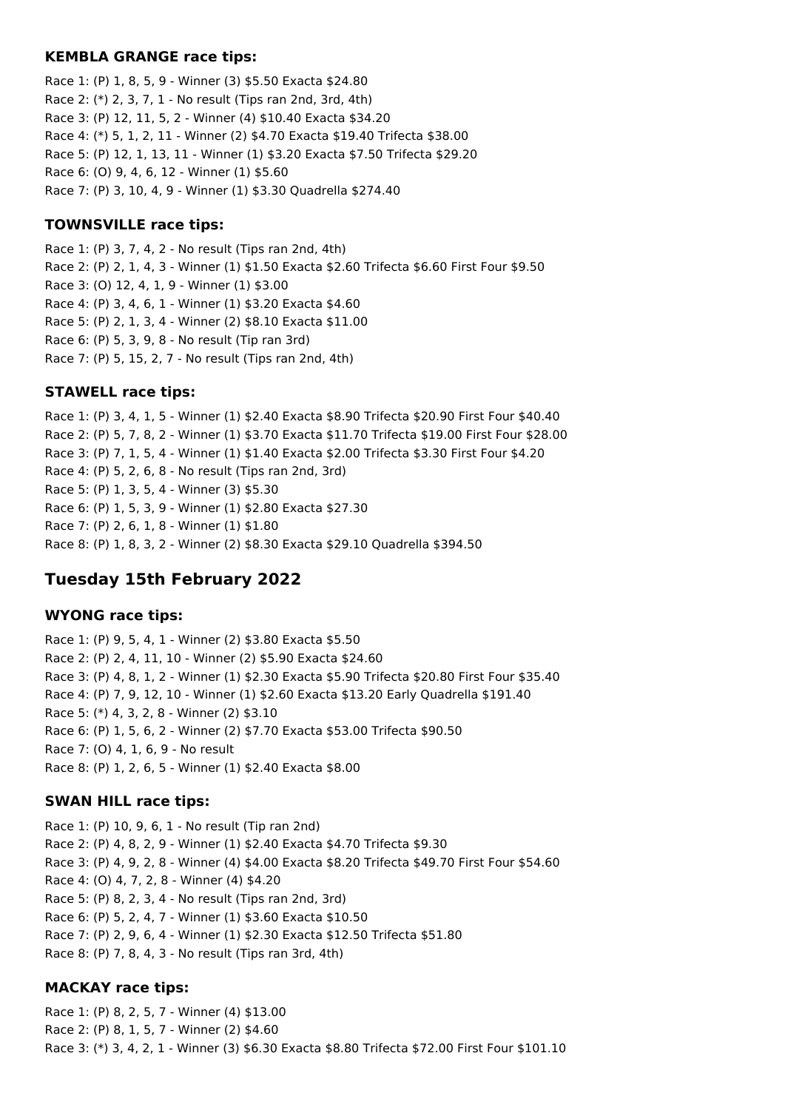### **KEMBLA GRANGE race tips:**

Race 1: (P) 1, 8, 5, 9 - Winner (3) \$5.50 Exacta \$24.80 Race 2: (\*) 2, 3, 7, 1 - No result (Tips ran 2nd, 3rd, 4th) Race 3: (P) 12, 11, 5, 2 - Winner (4) \$10.40 Exacta \$34.20 Race 4: (\*) 5, 1, 2, 11 - Winner (2) \$4.70 Exacta \$19.40 Trifecta \$38.00 Race 5: (P) 12, 1, 13, 11 - Winner (1) \$3.20 Exacta \$7.50 Trifecta \$29.20 Race 6: (O) 9, 4, 6, 12 - Winner (1) \$5.60 Race 7: (P) 3, 10, 4, 9 - Winner (1) \$3.30 Quadrella \$274.40

### **TOWNSVILLE race tips:**

Race 1: (P) 3, 7, 4, 2 - No result (Tips ran 2nd, 4th) Race 2: (P) 2, 1, 4, 3 - Winner (1) \$1.50 Exacta \$2.60 Trifecta \$6.60 First Four \$9.50 Race 3: (O) 12, 4, 1, 9 - Winner (1) \$3.00 Race 4: (P) 3, 4, 6, 1 - Winner (1) \$3.20 Exacta \$4.60 Race 5: (P) 2, 1, 3, 4 - Winner (2) \$8.10 Exacta \$11.00 Race 6: (P) 5, 3, 9, 8 - No result (Tip ran 3rd) Race 7: (P) 5, 15, 2, 7 - No result (Tips ran 2nd, 4th)

#### **STAWELL race tips:**

Race 1: (P) 3, 4, 1, 5 - Winner (1) \$2.40 Exacta \$8.90 Trifecta \$20.90 First Four \$40.40 Race 2: (P) 5, 7, 8, 2 - Winner (1) \$3.70 Exacta \$11.70 Trifecta \$19.00 First Four \$28.00 Race 3: (P) 7, 1, 5, 4 - Winner (1) \$1.40 Exacta \$2.00 Trifecta \$3.30 First Four \$4.20 Race 4: (P) 5, 2, 6, 8 - No result (Tips ran 2nd, 3rd) Race 5: (P) 1, 3, 5, 4 - Winner (3) \$5.30 Race 6: (P) 1, 5, 3, 9 - Winner (1) \$2.80 Exacta \$27.30 Race 7: (P) 2, 6, 1, 8 - Winner (1) \$1.80 Race 8: (P) 1, 8, 3, 2 - Winner (2) \$8.30 Exacta \$29.10 Quadrella \$394.50

# **Tuesday 15th February 2022**

### **WYONG race tips:**

Race 1: (P) 9, 5, 4, 1 - Winner (2) \$3.80 Exacta \$5.50 Race 2: (P) 2, 4, 11, 10 - Winner (2) \$5.90 Exacta \$24.60 Race 3: (P) 4, 8, 1, 2 - Winner (1) \$2.30 Exacta \$5.90 Trifecta \$20.80 First Four \$35.40 Race 4: (P) 7, 9, 12, 10 - Winner (1) \$2.60 Exacta \$13.20 Early Quadrella \$191.40 Race 5: (\*) 4, 3, 2, 8 - Winner (2) \$3.10 Race 6: (P) 1, 5, 6, 2 - Winner (2) \$7.70 Exacta \$53.00 Trifecta \$90.50 Race 7: (O) 4, 1, 6, 9 - No result Race 8: (P) 1, 2, 6, 5 - Winner (1) \$2.40 Exacta \$8.00

#### **SWAN HILL race tips:**

Race 1: (P) 10, 9, 6, 1 - No result (Tip ran 2nd) Race 2: (P) 4, 8, 2, 9 - Winner (1) \$2.40 Exacta \$4.70 Trifecta \$9.30 Race 3: (P) 4, 9, 2, 8 - Winner (4) \$4.00 Exacta \$8.20 Trifecta \$49.70 First Four \$54.60 Race 4: (O) 4, 7, 2, 8 - Winner (4) \$4.20 Race 5: (P) 8, 2, 3, 4 - No result (Tips ran 2nd, 3rd) Race 6: (P) 5, 2, 4, 7 - Winner (1) \$3.60 Exacta \$10.50 Race 7: (P) 2, 9, 6, 4 - Winner (1) \$2.30 Exacta \$12.50 Trifecta \$51.80 Race 8: (P) 7, 8, 4, 3 - No result (Tips ran 3rd, 4th)

#### **MACKAY race tips:**

Race 1: (P) 8, 2, 5, 7 - Winner (4) \$13.00 Race 2: (P) 8, 1, 5, 7 - Winner (2) \$4.60 Race 3: (\*) 3, 4, 2, 1 - Winner (3) \$6.30 Exacta \$8.80 Trifecta \$72.00 First Four \$101.10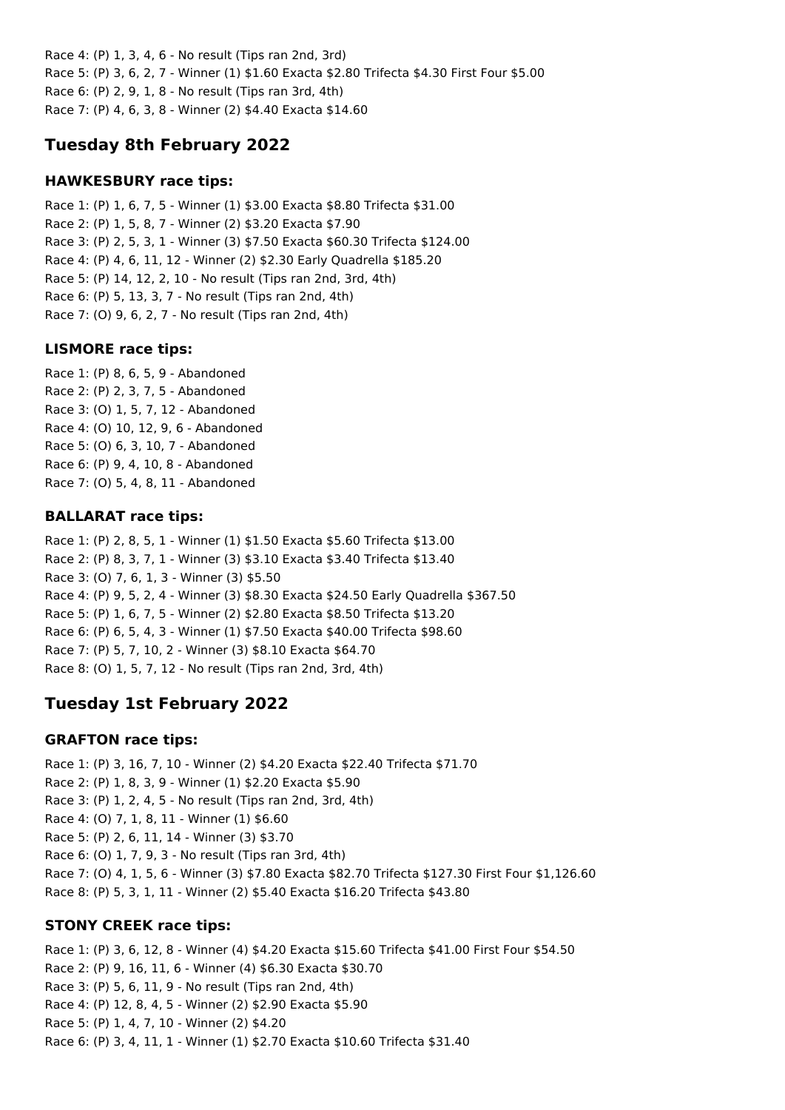Race 4: (P) 1, 3, 4, 6 - No result (Tips ran 2nd, 3rd) Race 5: (P) 3, 6, 2, 7 - Winner (1) \$1.60 Exacta \$2.80 Trifecta \$4.30 First Four \$5.00 Race 6: (P) 2, 9, 1, 8 - No result (Tips ran 3rd, 4th) Race 7: (P) 4, 6, 3, 8 - Winner (2) \$4.40 Exacta \$14.60

# **Tuesday 8th February 2022**

## **HAWKESBURY race tips:**

Race 1: (P) 1, 6, 7, 5 - Winner (1) \$3.00 Exacta \$8.80 Trifecta \$31.00 Race 2: (P) 1, 5, 8, 7 - Winner (2) \$3.20 Exacta \$7.90 Race 3: (P) 2, 5, 3, 1 - Winner (3) \$7.50 Exacta \$60.30 Trifecta \$124.00 Race 4: (P) 4, 6, 11, 12 - Winner (2) \$2.30 Early Quadrella \$185.20 Race 5: (P) 14, 12, 2, 10 - No result (Tips ran 2nd, 3rd, 4th) Race 6: (P) 5, 13, 3, 7 - No result (Tips ran 2nd, 4th) Race 7: (O) 9, 6, 2, 7 - No result (Tips ran 2nd, 4th)

## **LISMORE race tips:**

Race 1: (P) 8, 6, 5, 9 - Abandoned Race 2: (P) 2, 3, 7, 5 - Abandoned Race 3: (O) 1, 5, 7, 12 - Abandoned Race 4: (O) 10, 12, 9, 6 - Abandoned Race 5: (O) 6, 3, 10, 7 - Abandoned Race 6: (P) 9, 4, 10, 8 - Abandoned Race 7: (O) 5, 4, 8, 11 - Abandoned

### **BALLARAT race tips:**

Race 1: (P) 2, 8, 5, 1 - Winner (1) \$1.50 Exacta \$5.60 Trifecta \$13.00 Race 2: (P) 8, 3, 7, 1 - Winner (3) \$3.10 Exacta \$3.40 Trifecta \$13.40 Race 3: (O) 7, 6, 1, 3 - Winner (3) \$5.50 Race 4: (P) 9, 5, 2, 4 - Winner (3) \$8.30 Exacta \$24.50 Early Quadrella \$367.50 Race 5: (P) 1, 6, 7, 5 - Winner (2) \$2.80 Exacta \$8.50 Trifecta \$13.20 Race 6: (P) 6, 5, 4, 3 - Winner (1) \$7.50 Exacta \$40.00 Trifecta \$98.60 Race 7: (P) 5, 7, 10, 2 - Winner (3) \$8.10 Exacta \$64.70 Race 8: (O) 1, 5, 7, 12 - No result (Tips ran 2nd, 3rd, 4th)

# **Tuesday 1st February 2022**

#### **GRAFTON race tips:**

Race 1: (P) 3, 16, 7, 10 - Winner (2) \$4.20 Exacta \$22.40 Trifecta \$71.70 Race 2: (P) 1, 8, 3, 9 - Winner (1) \$2.20 Exacta \$5.90 Race 3: (P) 1, 2, 4, 5 - No result (Tips ran 2nd, 3rd, 4th) Race 4: (O) 7, 1, 8, 11 - Winner (1) \$6.60 Race 5: (P) 2, 6, 11, 14 - Winner (3) \$3.70 Race 6: (O) 1, 7, 9, 3 - No result (Tips ran 3rd, 4th) Race 7: (O) 4, 1, 5, 6 - Winner (3) \$7.80 Exacta \$82.70 Trifecta \$127.30 First Four \$1,126.60 Race 8: (P) 5, 3, 1, 11 - Winner (2) \$5.40 Exacta \$16.20 Trifecta \$43.80

## **STONY CREEK race tips:**

Race 1: (P) 3, 6, 12, 8 - Winner (4) \$4.20 Exacta \$15.60 Trifecta \$41.00 First Four \$54.50 Race 2: (P) 9, 16, 11, 6 - Winner (4) \$6.30 Exacta \$30.70 Race 3: (P) 5, 6, 11, 9 - No result (Tips ran 2nd, 4th) Race 4: (P) 12, 8, 4, 5 - Winner (2) \$2.90 Exacta \$5.90 Race 5: (P) 1, 4, 7, 10 - Winner (2) \$4.20 Race 6: (P) 3, 4, 11, 1 - Winner (1) \$2.70 Exacta \$10.60 Trifecta \$31.40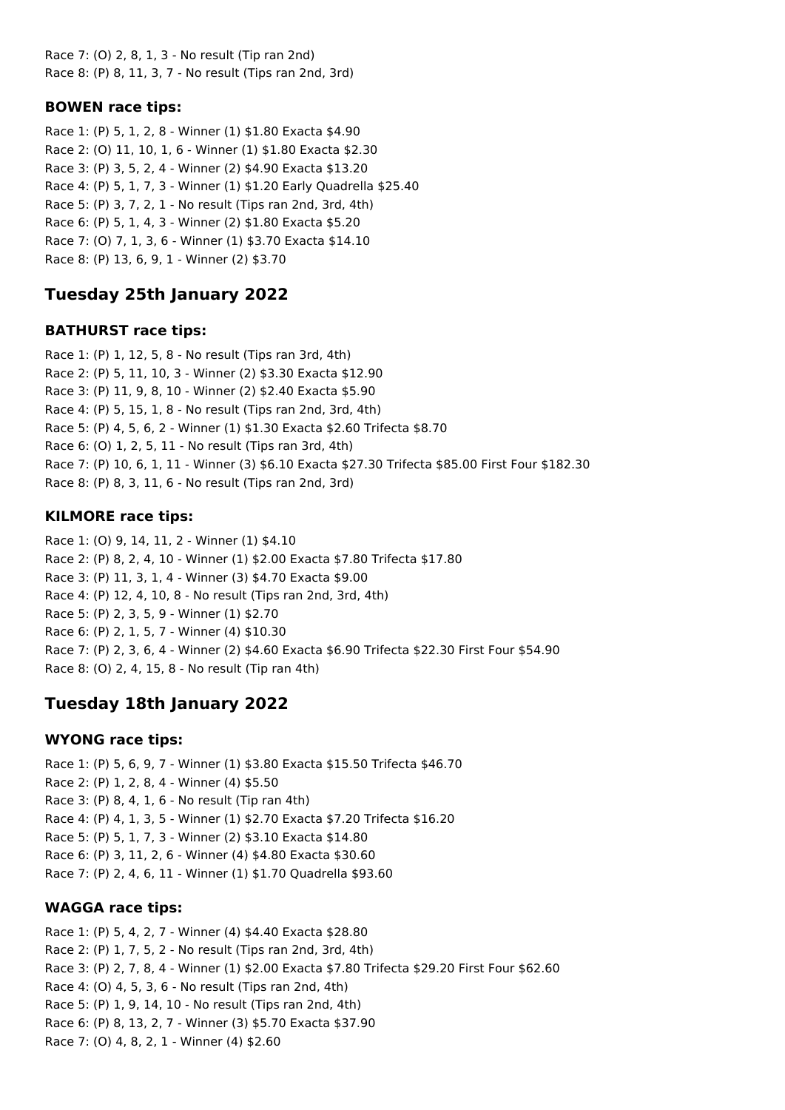Race 7: (O) 2, 8, 1, 3 - No result (Tip ran 2nd) Race 8: (P) 8, 11, 3, 7 - No result (Tips ran 2nd, 3rd)

## **BOWEN race tips:**

Race 1: (P) 5, 1, 2, 8 - Winner (1) \$1.80 Exacta \$4.90 Race 2: (O) 11, 10, 1, 6 - Winner (1) \$1.80 Exacta \$2.30 Race 3: (P) 3, 5, 2, 4 - Winner (2) \$4.90 Exacta \$13.20 Race 4: (P) 5, 1, 7, 3 - Winner (1) \$1.20 Early Quadrella \$25.40 Race 5: (P) 3, 7, 2, 1 - No result (Tips ran 2nd, 3rd, 4th) Race 6: (P) 5, 1, 4, 3 - Winner (2) \$1.80 Exacta \$5.20 Race 7: (O) 7, 1, 3, 6 - Winner (1) \$3.70 Exacta \$14.10 Race 8: (P) 13, 6, 9, 1 - Winner (2) \$3.70

# **Tuesday 25th January 2022**

# **BATHURST race tips:**

Race 1: (P) 1, 12, 5, 8 - No result (Tips ran 3rd, 4th) Race 2: (P) 5, 11, 10, 3 - Winner (2) \$3.30 Exacta \$12.90 Race 3: (P) 11, 9, 8, 10 - Winner (2) \$2.40 Exacta \$5.90 Race 4: (P) 5, 15, 1, 8 - No result (Tips ran 2nd, 3rd, 4th) Race 5: (P) 4, 5, 6, 2 - Winner (1) \$1.30 Exacta \$2.60 Trifecta \$8.70 Race 6: (O) 1, 2, 5, 11 - No result (Tips ran 3rd, 4th) Race 7: (P) 10, 6, 1, 11 - Winner (3) \$6.10 Exacta \$27.30 Trifecta \$85.00 First Four \$182.30 Race 8: (P) 8, 3, 11, 6 - No result (Tips ran 2nd, 3rd)

# **KILMORE race tips:**

Race 1: (O) 9, 14, 11, 2 - Winner (1) \$4.10 Race 2: (P) 8, 2, 4, 10 - Winner (1) \$2.00 Exacta \$7.80 Trifecta \$17.80 Race 3: (P) 11, 3, 1, 4 - Winner (3) \$4.70 Exacta \$9.00 Race 4: (P) 12, 4, 10, 8 - No result (Tips ran 2nd, 3rd, 4th) Race 5: (P) 2, 3, 5, 9 - Winner (1) \$2.70 Race 6: (P) 2, 1, 5, 7 - Winner (4) \$10.30 Race 7: (P) 2, 3, 6, 4 - Winner (2) \$4.60 Exacta \$6.90 Trifecta \$22.30 First Four \$54.90 Race 8: (O) 2, 4, 15, 8 - No result (Tip ran 4th)

# **Tuesday 18th January 2022**

## **WYONG race tips:**

Race 1: (P) 5, 6, 9, 7 - Winner (1) \$3.80 Exacta \$15.50 Trifecta \$46.70 Race 2: (P) 1, 2, 8, 4 - Winner (4) \$5.50 Race 3: (P) 8, 4, 1, 6 - No result (Tip ran 4th) Race 4: (P) 4, 1, 3, 5 - Winner (1) \$2.70 Exacta \$7.20 Trifecta \$16.20 Race 5: (P) 5, 1, 7, 3 - Winner (2) \$3.10 Exacta \$14.80 Race 6: (P) 3, 11, 2, 6 - Winner (4) \$4.80 Exacta \$30.60 Race 7: (P) 2, 4, 6, 11 - Winner (1) \$1.70 Quadrella \$93.60

## **WAGGA race tips:**

Race 1: (P) 5, 4, 2, 7 - Winner (4) \$4.40 Exacta \$28.80 Race 2: (P) 1, 7, 5, 2 - No result (Tips ran 2nd, 3rd, 4th) Race 3: (P) 2, 7, 8, 4 - Winner (1) \$2.00 Exacta \$7.80 Trifecta \$29.20 First Four \$62.60 Race 4: (O) 4, 5, 3, 6 - No result (Tips ran 2nd, 4th) Race 5: (P) 1, 9, 14, 10 - No result (Tips ran 2nd, 4th) Race 6: (P) 8, 13, 2, 7 - Winner (3) \$5.70 Exacta \$37.90 Race 7: (O) 4, 8, 2, 1 - Winner (4) \$2.60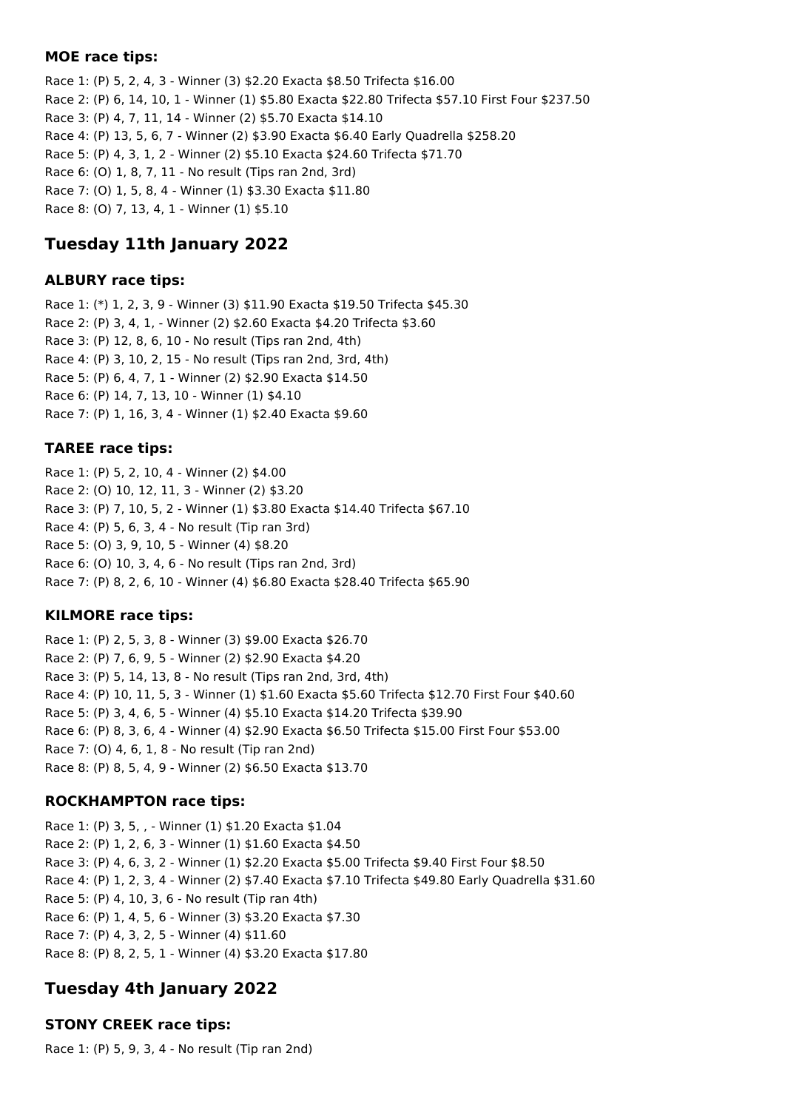#### **MOE race tips:**

Race 1: (P) 5, 2, 4, 3 - Winner (3) \$2.20 Exacta \$8.50 Trifecta \$16.00 Race 2: (P) 6, 14, 10, 1 - Winner (1) \$5.80 Exacta \$22.80 Trifecta \$57.10 First Four \$237.50 Race 3: (P) 4, 7, 11, 14 - Winner (2) \$5.70 Exacta \$14.10 Race 4: (P) 13, 5, 6, 7 - Winner (2) \$3.90 Exacta \$6.40 Early Quadrella \$258.20 Race 5: (P) 4, 3, 1, 2 - Winner (2) \$5.10 Exacta \$24.60 Trifecta \$71.70 Race 6: (O) 1, 8, 7, 11 - No result (Tips ran 2nd, 3rd) Race 7: (O) 1, 5, 8, 4 - Winner (1) \$3.30 Exacta \$11.80 Race 8: (O) 7, 13, 4, 1 - Winner (1) \$5.10

# **Tuesday 11th January 2022**

## **ALBURY race tips:**

Race 1: (\*) 1, 2, 3, 9 - Winner (3) \$11.90 Exacta \$19.50 Trifecta \$45.30 Race 2: (P) 3, 4, 1, - Winner (2) \$2.60 Exacta \$4.20 Trifecta \$3.60 Race 3: (P) 12, 8, 6, 10 - No result (Tips ran 2nd, 4th) Race 4: (P) 3, 10, 2, 15 - No result (Tips ran 2nd, 3rd, 4th) Race 5: (P) 6, 4, 7, 1 - Winner (2) \$2.90 Exacta \$14.50 Race 6: (P) 14, 7, 13, 10 - Winner (1) \$4.10 Race 7: (P) 1, 16, 3, 4 - Winner (1) \$2.40 Exacta \$9.60

## **TAREE race tips:**

Race 1: (P) 5, 2, 10, 4 - Winner (2) \$4.00 Race 2: (O) 10, 12, 11, 3 - Winner (2) \$3.20 Race 3: (P) 7, 10, 5, 2 - Winner (1) \$3.80 Exacta \$14.40 Trifecta \$67.10 Race 4: (P) 5, 6, 3, 4 - No result (Tip ran 3rd) Race 5: (O) 3, 9, 10, 5 - Winner (4) \$8.20 Race 6: (O) 10, 3, 4, 6 - No result (Tips ran 2nd, 3rd) Race 7: (P) 8, 2, 6, 10 - Winner (4) \$6.80 Exacta \$28.40 Trifecta \$65.90

## **KILMORE race tips:**

Race 1: (P) 2, 5, 3, 8 - Winner (3) \$9.00 Exacta \$26.70 Race 2: (P) 7, 6, 9, 5 - Winner (2) \$2.90 Exacta \$4.20 Race 3: (P) 5, 14, 13, 8 - No result (Tips ran 2nd, 3rd, 4th) Race 4: (P) 10, 11, 5, 3 - Winner (1) \$1.60 Exacta \$5.60 Trifecta \$12.70 First Four \$40.60 Race 5: (P) 3, 4, 6, 5 - Winner (4) \$5.10 Exacta \$14.20 Trifecta \$39.90 Race 6: (P) 8, 3, 6, 4 - Winner (4) \$2.90 Exacta \$6.50 Trifecta \$15.00 First Four \$53.00 Race 7: (O) 4, 6, 1, 8 - No result (Tip ran 2nd) Race 8: (P) 8, 5, 4, 9 - Winner (2) \$6.50 Exacta \$13.70

#### **ROCKHAMPTON race tips:**

Race 1: (P) 3, 5, , - Winner (1) \$1.20 Exacta \$1.04 Race 2: (P) 1, 2, 6, 3 - Winner (1) \$1.60 Exacta \$4.50 Race 3: (P) 4, 6, 3, 2 - Winner (1) \$2.20 Exacta \$5.00 Trifecta \$9.40 First Four \$8.50 Race 4: (P) 1, 2, 3, 4 - Winner (2) \$7.40 Exacta \$7.10 Trifecta \$49.80 Early Quadrella \$31.60 Race 5: (P) 4, 10, 3, 6 - No result (Tip ran 4th) Race 6: (P) 1, 4, 5, 6 - Winner (3) \$3.20 Exacta \$7.30 Race 7: (P) 4, 3, 2, 5 - Winner (4) \$11.60 Race 8: (P) 8, 2, 5, 1 - Winner (4) \$3.20 Exacta \$17.80

# **Tuesday 4th January 2022**

## **STONY CREEK race tips:**

Race 1: (P) 5, 9, 3, 4 - No result (Tip ran 2nd)